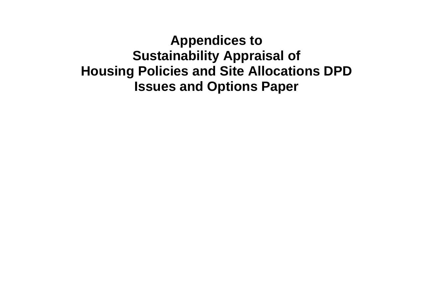**Appendices to Sustainability Appraisal of Housing Policies and Site Allocations DPD Issues and Options Paper**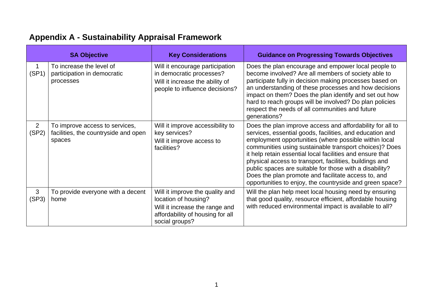|                         | <b>SA Objective</b>                                                              | <b>Key Considerations</b>                                                                                                                       | <b>Guidance on Progressing Towards Objectives</b>                                                                                                                                                                                                                                                                                                                                                                                                                                                                                              |
|-------------------------|----------------------------------------------------------------------------------|-------------------------------------------------------------------------------------------------------------------------------------------------|------------------------------------------------------------------------------------------------------------------------------------------------------------------------------------------------------------------------------------------------------------------------------------------------------------------------------------------------------------------------------------------------------------------------------------------------------------------------------------------------------------------------------------------------|
| 1<br>(SP1)              | To increase the level of<br>participation in democratic<br>processes             | Will it encourage participation<br>in democratic processes?<br>Will it increase the ability of<br>people to influence decisions?                | Does the plan encourage and empower local people to<br>become involved? Are all members of society able to<br>participate fully in decision making processes based on<br>an understanding of these processes and how decisions<br>impact on them? Does the plan identify and set out how<br>hard to reach groups will be involved? Do plan policies<br>respect the needs of all communities and future<br>generations?                                                                                                                         |
| $\overline{2}$<br>(SP2) | To improve access to services,<br>facilities, the countryside and open<br>spaces | Will it improve accessibility to<br>key services?<br>Will it improve access to<br>facilities?                                                   | Does the plan improve access and affordability for all to<br>services, essential goods, facilities, and education and<br>employment opportunities (where possible within local<br>communities using sustainable transport choices)? Does<br>it help retain essential local facilities and ensure that<br>physical access to transport, facilities, buildings and<br>public spaces are suitable for those with a disability?<br>Does the plan promote and facilitate access to, and<br>opportunities to enjoy, the countryside and green space? |
| 3<br>(SP3)              | To provide everyone with a decent<br>home                                        | Will it improve the quality and<br>location of housing?<br>Will it increase the range and<br>affordability of housing for all<br>social groups? | Will the plan help meet local housing need by ensuring<br>that good quality, resource efficient, affordable housing<br>with reduced environmental impact is available to all?                                                                                                                                                                                                                                                                                                                                                                  |

# **Appendix A - Sustainability Appraisal Framework**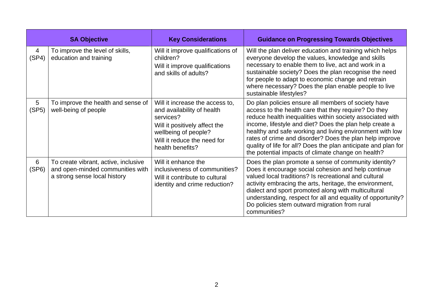|            | <b>SA Objective</b>                                                                                      | <b>Key Considerations</b>                                                                                                                                                              | <b>Guidance on Progressing Towards Objectives</b>                                                                                                                                                                                                                                                                                                                                                                                                                                  |
|------------|----------------------------------------------------------------------------------------------------------|----------------------------------------------------------------------------------------------------------------------------------------------------------------------------------------|------------------------------------------------------------------------------------------------------------------------------------------------------------------------------------------------------------------------------------------------------------------------------------------------------------------------------------------------------------------------------------------------------------------------------------------------------------------------------------|
| 4<br>(SP4) | To improve the level of skills,<br>education and training                                                | Will it improve qualifications of<br>children?<br>Will it improve qualifications<br>and skills of adults?                                                                              | Will the plan deliver education and training which helps<br>everyone develop the values, knowledge and skills<br>necessary to enable them to live, act and work in a<br>sustainable society? Does the plan recognise the need<br>for people to adapt to economic change and retrain<br>where necessary? Does the plan enable people to live<br>sustainable lifestyles?                                                                                                             |
| 5<br>(SP5) | To improve the health and sense of<br>well-being of people                                               | Will it increase the access to,<br>and availability of health<br>services?<br>Will it positively affect the<br>wellbeing of people?<br>Will it reduce the need for<br>health benefits? | Do plan policies ensure all members of society have<br>access to the health care that they require? Do they<br>reduce health inequalities within society associated with<br>income, lifestyle and diet? Does the plan help create a<br>healthy and safe working and living environment with low<br>rates of crime and disorder? Does the plan help improve<br>quality of life for all? Does the plan anticipate and plan for<br>the potential impacts of climate change on health? |
| 6<br>(SP6) | To create vibrant, active, inclusive<br>and open-minded communities with<br>a strong sense local history | Will it enhance the<br>inclusiveness of communities?<br>Will it contribute to cultural<br>identity and crime reduction?                                                                | Does the plan promote a sense of community identity?<br>Does it encourage social cohesion and help continue<br>valued local traditions? Is recreational and cultural<br>activity embracing the arts, heritage, the environment,<br>dialect and sport promoted along with multicultural<br>understanding, respect for all and equality of opportunity?<br>Do policies stem outward migration from rural<br>communities?                                                             |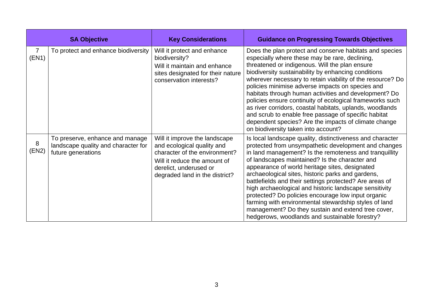|                         | <b>SA Objective</b>                                                                          | <b>Key Considerations</b>                                                                                                                                                                | <b>Guidance on Progressing Towards Objectives</b>                                                                                                                                                                                                                                                                                                                                                                                                                                                                                                                                                                                                                                |
|-------------------------|----------------------------------------------------------------------------------------------|------------------------------------------------------------------------------------------------------------------------------------------------------------------------------------------|----------------------------------------------------------------------------------------------------------------------------------------------------------------------------------------------------------------------------------------------------------------------------------------------------------------------------------------------------------------------------------------------------------------------------------------------------------------------------------------------------------------------------------------------------------------------------------------------------------------------------------------------------------------------------------|
| $\overline{7}$<br>(EN1) | To protect and enhance biodiversity                                                          | Will it protect and enhance<br>biodiversity?<br>Will it maintain and enhance<br>sites designated for their nature<br>conservation interests?                                             | Does the plan protect and conserve habitats and species<br>especially where these may be rare, declining,<br>threatened or indigenous. Will the plan ensure<br>biodiversity sustainability by enhancing conditions<br>wherever necessary to retain viability of the resource? Do<br>policies minimise adverse impacts on species and<br>habitats through human activities and development? Do<br>policies ensure continuity of ecological frameworks such<br>as river corridors, coastal habitats, uplands, woodlands<br>and scrub to enable free passage of specific habitat<br>dependent species? Are the impacts of climate change<br>on biodiversity taken into account?     |
| 8<br>(EN2)              | To preserve, enhance and manage<br>landscape quality and character for<br>future generations | Will it improve the landscape<br>and ecological quality and<br>character of the environment?<br>Will it reduce the amount of<br>derelict, underused or<br>degraded land in the district? | Is local landscape quality, distinctiveness and character<br>protected from unsympathetic development and changes<br>in land management? Is the remoteness and tranquillity<br>of landscapes maintained? Is the character and<br>appearance of world heritage sites, designated<br>archaeological sites, historic parks and gardens,<br>battlefields and their settings protected? Are areas of<br>high archaeological and historic landscape sensitivity<br>protected? Do policies encourage low input organic<br>farming with environmental stewardship styles of land<br>management? Do they sustain and extend tree cover,<br>hedgerows, woodlands and sustainable forestry? |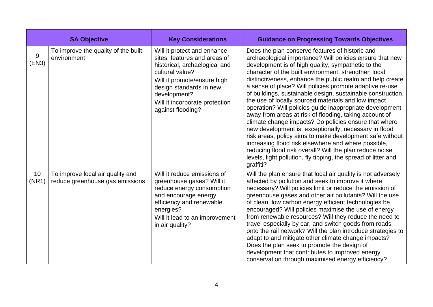|             | <b>SA Objective</b>                                                 | <b>Key Considerations</b>                                                                                                                                                                                                                        | <b>Guidance on Progressing Towards Objectives</b>                                                                                                                                                                                                                                                                                                                                                                                                                                                                                                                                                                                                                                                                                                                                                                                                                                                                                                                            |
|-------------|---------------------------------------------------------------------|--------------------------------------------------------------------------------------------------------------------------------------------------------------------------------------------------------------------------------------------------|------------------------------------------------------------------------------------------------------------------------------------------------------------------------------------------------------------------------------------------------------------------------------------------------------------------------------------------------------------------------------------------------------------------------------------------------------------------------------------------------------------------------------------------------------------------------------------------------------------------------------------------------------------------------------------------------------------------------------------------------------------------------------------------------------------------------------------------------------------------------------------------------------------------------------------------------------------------------------|
| 9<br>(EN3)  | To improve the quality of the built<br>environment                  | Will it protect and enhance<br>sites, features and areas of<br>historical, archaelogical and<br>cultural value?<br>Will it promote/ensure high<br>design standards in new<br>development?<br>Will it incorporate protection<br>against flooding? | Does the plan conserve features of historic and<br>archaeological importance? Will policies ensure that new<br>development is of high quality, sympathetic to the<br>character of the built environment, strengthen local<br>distinctiveness, enhance the public realm and help create<br>a sense of place? Will policies promote adaptive re-use<br>of buildings, sustainable design, sustainable construction,<br>the use of locally sourced materials and low impact<br>operation? Will policies guide inappropriate development<br>away from areas at risk of flooding, taking account of<br>climate change impacts? Do policies ensure that where<br>new development is, exceptionally, necessary in flood<br>risk areas, policy aims to make development safe without<br>increasing flood risk elsewhere and where possible,<br>reducing flood risk overall? Will the plan reduce noise<br>levels, light pollution, fly tipping, the spread of litter and<br>graffiti? |
| 10<br>(NR1) | To improve local air quality and<br>reduce greenhouse gas emissions | Will it reduce emissions of<br>greenhouse gases? Will it<br>reduce energy consumption<br>and encourage energy<br>efficiency and renewable<br>energies?<br>Will it lead to an improvement<br>in air quality?                                      | Will the plan ensure that local air quality is not adversely<br>affected by pollution and seek to improve it where<br>necessary? Will policies limit or reduce the emission of<br>greenhouse gases and other air pollutants? Will the use<br>of clean, low carbon energy efficient technologies be<br>encouraged? Will policies maximise the use of energy<br>from renewable resources? Will they reduce the need to<br>travel especially by car, and switch goods from roads<br>onto the rail network? Will the plan introduce strategies to<br>adapt to and mitigate other climate change impacts?<br>Does the plan seek to promote the design of<br>development that contributes to improved energy<br>conservation through maximised energy efficiency?                                                                                                                                                                                                                  |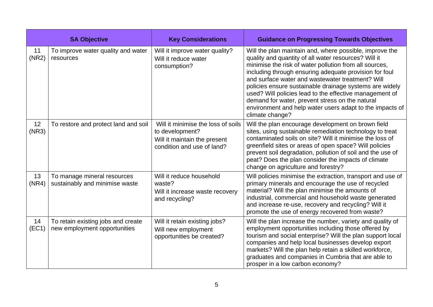|             | <b>SA Objective</b>                                                | <b>Key Considerations</b>                                                                                           | <b>Guidance on Progressing Towards Objectives</b>                                                                                                                                                                                                                                                                                                                                                                                                                                                                                               |
|-------------|--------------------------------------------------------------------|---------------------------------------------------------------------------------------------------------------------|-------------------------------------------------------------------------------------------------------------------------------------------------------------------------------------------------------------------------------------------------------------------------------------------------------------------------------------------------------------------------------------------------------------------------------------------------------------------------------------------------------------------------------------------------|
| 11<br>(NR2) | To improve water quality and water<br>resources                    | Will it improve water quality?<br>Will it reduce water<br>consumption?                                              | Will the plan maintain and, where possible, improve the<br>quality and quantity of all water resources? Will it<br>minimise the risk of water pollution from all sources,<br>including through ensuring adequate provision for foul<br>and surface water and wastewater treatment? Will<br>policies ensure sustainable drainage systems are widely<br>used? Will policies lead to the effective management of<br>demand for water, prevent stress on the natural<br>environment and help water users adapt to the impacts of<br>climate change? |
| 12<br>(NR3) | To restore and protect land and soil                               | Will it minimise the loss of soils<br>to development?<br>Will it maintain the present<br>condition and use of land? | Will the plan encourage development on brown field<br>sites, using sustainable remediation technology to treat<br>contaminated soils on site? Will it minimise the loss of<br>greenfield sites or areas of open space? Will policies<br>prevent soil degradation, pollution of soil and the use of<br>peat? Does the plan consider the impacts of climate<br>change on agriculture and forestry?                                                                                                                                                |
| 13<br>(NR4) | To manage mineral resources<br>sustainably and minimise waste      | Will it reduce household<br>waste?<br>Will it increase waste recovery<br>and recycling?                             | Will policies minimise the extraction, transport and use of<br>primary minerals and encourage the use of recycled<br>material? Will the plan minimise the amounts of<br>industrial, commercial and household waste generated<br>and increase re-use, recovery and recycling? Will it<br>promote the use of energy recovered from waste?                                                                                                                                                                                                         |
| 14<br>(EC1) | To retain existing jobs and create<br>new employment opportunities | Will it retain existing jobs?<br>Will new employment<br>opportunities be created?                                   | Will the plan increase the number, variety and quality of<br>employment opportunities including those offered by<br>tourism and social enterprise? Will the plan support local<br>companies and help local businesses develop export<br>markets? Will the plan help retain a skilled workforce,<br>graduates and companies in Cumbria that are able to<br>prosper in a low carbon economy?                                                                                                                                                      |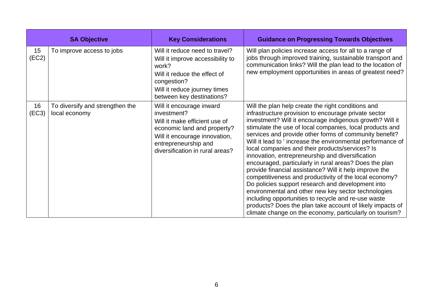|             | <b>SA Objective</b>                              | <b>Key Considerations</b>                                                                                                                                                                           | <b>Guidance on Progressing Towards Objectives</b>                                                                                                                                                                                                                                                                                                                                                                                                                                                                                                                                                                                                                                                                                                                                                                                                                                                                                           |
|-------------|--------------------------------------------------|-----------------------------------------------------------------------------------------------------------------------------------------------------------------------------------------------------|---------------------------------------------------------------------------------------------------------------------------------------------------------------------------------------------------------------------------------------------------------------------------------------------------------------------------------------------------------------------------------------------------------------------------------------------------------------------------------------------------------------------------------------------------------------------------------------------------------------------------------------------------------------------------------------------------------------------------------------------------------------------------------------------------------------------------------------------------------------------------------------------------------------------------------------------|
| 15<br>(EC2) | To improve access to jobs                        | Will it reduce need to travel?<br>Will it improve accessibility to<br>work?<br>Will it reduce the effect of<br>congestion?<br>Will it reduce journey times<br>between key destinations?             | Will plan policies increase access for all to a range of<br>jobs through improved training, sustainable transport and<br>communication links? Will the plan lead to the location of<br>new employment opportunities in areas of greatest need?                                                                                                                                                                                                                                                                                                                                                                                                                                                                                                                                                                                                                                                                                              |
| 16<br>(EC3) | To diversify and strengthen the<br>local economy | Will it encourage inward<br>investment?<br>Will it make efficient use of<br>economic land and property?<br>Will it encourage innovation,<br>entrepreneurship and<br>diversification in rural areas? | Will the plan help create the right conditions and<br>infrastructure provision to encourage private sector<br>investment? Will it encourage indigenous growth? Will it<br>stimulate the use of local companies, local products and<br>services and provide other forms of community benefit?<br>Will it lead to ' increase the environmental performance of<br>local companies and their products/services? Is<br>innovation, entrepreneurship and diversification<br>encouraged, particularly in rural areas? Does the plan<br>provide financial assistance? Will it help improve the<br>competitiveness and productivity of the local economy?<br>Do policies support research and development into<br>environmental and other new key sector technologies<br>including opportunities to recycle and re-use waste<br>products? Does the plan take account of likely impacts of<br>climate change on the economy, particularly on tourism? |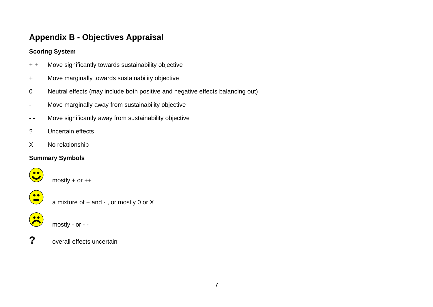# **Appendix B - Objectives Appraisal**

## **Scoring System**

- + + Move significantly towards sustainability objective
- + Move marginally towards sustainability objective
- 0 Neutral effects (may include both positive and negative effects balancing out)
- Move marginally away from sustainability objective
- - Move significantly away from sustainability objective
- ? Uncertain effects
- X No relationship

# **Summary Symbols**



**?** overall effects uncertain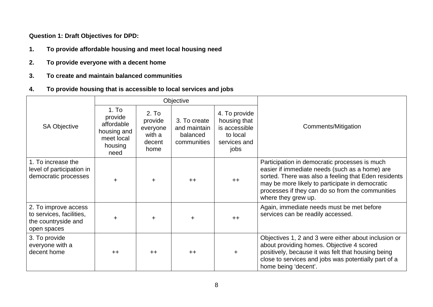**Question 1: Draft Objectives for DPD:** 

- **1. To provide affordable housing and meet local housing need**
- **2. To provide everyone with a decent home**
- **3. To create and maintain balanced communities**
- **4. To provide housing that is accessible to local services and jobs**

|                                                                                        |                                                                                           |                                                          | Objective                                               |                                                                                    |                                                                                                                                                                                                                                                                                       |
|----------------------------------------------------------------------------------------|-------------------------------------------------------------------------------------------|----------------------------------------------------------|---------------------------------------------------------|------------------------------------------------------------------------------------|---------------------------------------------------------------------------------------------------------------------------------------------------------------------------------------------------------------------------------------------------------------------------------------|
| <b>SA Objective</b>                                                                    | 1.7 <sub>o</sub><br>provide<br>affordable<br>housing and<br>meet local<br>housing<br>need | 2. To<br>provide<br>everyone<br>with a<br>decent<br>home | 3. To create<br>and maintain<br>balanced<br>communities | 4. To provide<br>housing that<br>is accessible<br>to local<br>services and<br>jobs | Comments/Mitigation                                                                                                                                                                                                                                                                   |
| 1. To increase the<br>level of participation in<br>democratic processes                | $\ddot{}$                                                                                 | ÷                                                        | $++$                                                    | $++$                                                                               | Participation in democratic processes is much<br>easier if immediate needs (such as a home) are<br>sorted. There was also a feeling that Eden residents<br>may be more likely to participate in democratic<br>processes if they can do so from the communities<br>where they grew up. |
| 2. To improve access<br>to services, facilities,<br>the countryside and<br>open spaces | $\ddot{}$                                                                                 | ÷.                                                       | $\ddot{}$                                               | $++$                                                                               | Again, immediate needs must be met before<br>services can be readily accessed.                                                                                                                                                                                                        |
| 3. To provide<br>everyone with a<br>decent home                                        | $++$                                                                                      | $++$                                                     | $++$                                                    | ÷.                                                                                 | Objectives 1, 2 and 3 were either about inclusion or<br>about providing homes. Objective 4 scored<br>positively, because it was felt that housing being<br>close to services and jobs was potentially part of a<br>home being 'decent'.                                               |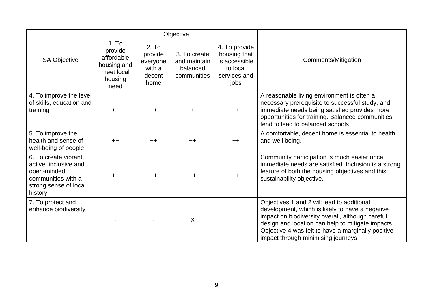|                                                                                                                         |                                                                                           |                                                          | Objective                                               |                                                                                    |                                                                                                                                                                                                                                                                                                     |
|-------------------------------------------------------------------------------------------------------------------------|-------------------------------------------------------------------------------------------|----------------------------------------------------------|---------------------------------------------------------|------------------------------------------------------------------------------------|-----------------------------------------------------------------------------------------------------------------------------------------------------------------------------------------------------------------------------------------------------------------------------------------------------|
| <b>SA Objective</b>                                                                                                     | 1.7 <sub>o</sub><br>provide<br>affordable<br>housing and<br>meet local<br>housing<br>need | 2. To<br>provide<br>everyone<br>with a<br>decent<br>home | 3. To create<br>and maintain<br>balanced<br>communities | 4. To provide<br>housing that<br>is accessible<br>to local<br>services and<br>jobs | Comments/Mitigation                                                                                                                                                                                                                                                                                 |
| 4. To improve the level<br>of skills, education and<br>training                                                         | $++$                                                                                      | $++$                                                     | $\ddot{}$                                               | $++$                                                                               | A reasonable living environment is often a<br>necessary prerequisite to successful study, and<br>immediate needs being satisfied provides more<br>opportunities for training. Balanced communities<br>tend to lead to balanced schools                                                              |
| 5. To improve the<br>health and sense of<br>well-being of people                                                        | $++$                                                                                      | $++$                                                     | $++$                                                    | $++$                                                                               | A comfortable, decent home is essential to health<br>and well being.                                                                                                                                                                                                                                |
| 6. To create vibrant,<br>active, inclusive and<br>open-minded<br>communities with a<br>strong sense of local<br>history | $++$                                                                                      | $++$                                                     | $++$                                                    | $++$                                                                               | Community participation is much easier once<br>immediate needs are satisfied. Inclusion is a strong<br>feature of both the housing objectives and this<br>sustainability objective.                                                                                                                 |
| 7. To protect and<br>enhance biodiversity                                                                               |                                                                                           |                                                          | $\sf X$                                                 | $\ddot{}$                                                                          | Objectives 1 and 2 will lead to additional<br>development, which is likely to have a negative<br>impact on biodiversity overall, although careful<br>design and location can help to mitigate impacts.<br>Objective 4 was felt to have a marginally positive<br>impact through minimising journeys. |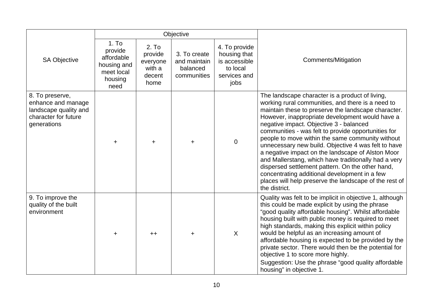|                                                                                                       |                                                                               |                                                          | Objective                                               |                                                                                    |                                                                                                                                                                                                                                                                                                                                                                                                                                                                                                                                                                                                                                                                                                                          |
|-------------------------------------------------------------------------------------------------------|-------------------------------------------------------------------------------|----------------------------------------------------------|---------------------------------------------------------|------------------------------------------------------------------------------------|--------------------------------------------------------------------------------------------------------------------------------------------------------------------------------------------------------------------------------------------------------------------------------------------------------------------------------------------------------------------------------------------------------------------------------------------------------------------------------------------------------------------------------------------------------------------------------------------------------------------------------------------------------------------------------------------------------------------------|
| SA Objective                                                                                          | 1.70<br>provide<br>affordable<br>housing and<br>meet local<br>housing<br>need | 2. To<br>provide<br>everyone<br>with a<br>decent<br>home | 3. To create<br>and maintain<br>balanced<br>communities | 4. To provide<br>housing that<br>is accessible<br>to local<br>services and<br>jobs | Comments/Mitigation                                                                                                                                                                                                                                                                                                                                                                                                                                                                                                                                                                                                                                                                                                      |
| 8. To preserve,<br>enhance and manage<br>landscape quality and<br>character for future<br>generations | ٠                                                                             | $\ddot{}$                                                | $\ddot{}$                                               | $\overline{0}$                                                                     | The landscape character is a product of living,<br>working rural communities, and there is a need to<br>maintain these to preserve the landscape character.<br>However, inappropriate development would have a<br>negative impact. Objective 3 - balanced<br>communities - was felt to provide opportunities for<br>people to move within the same community without<br>unnecessary new build. Objective 4 was felt to have<br>a negative impact on the landscape of Alston Moor<br>and Mallerstang, which have traditionally had a very<br>dispersed settlement pattern. On the other hand,<br>concentrating additional development in a few<br>places will help preserve the landscape of the rest of<br>the district. |
| 9. To improve the<br>quality of the built<br>environment                                              | ٠                                                                             | $++$                                                     | $\ddot{}$                                               | X                                                                                  | Quality was felt to be implicit in objective 1, although<br>this could be made explicit by using the phrase<br>"good quality affordable housing". Whilst affordable<br>housing built with public money is required to meet<br>high standards, making this explicit within policy<br>would be helpful as an increasing amount of<br>affordable housing is expected to be provided by the<br>private sector. There would then be the potential for<br>objective 1 to score more highly.<br>Suggestion: Use the phrase "good quality affordable<br>housing" in objective 1.                                                                                                                                                 |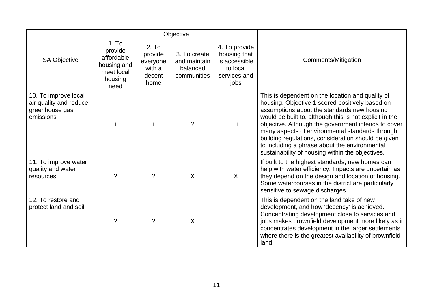|                                                                               |                                                                               |                                                                      | Objective                                               |                                                                                    |                                                                                                                                                                                                                                                                                                                                                                                                                                                                                     |
|-------------------------------------------------------------------------------|-------------------------------------------------------------------------------|----------------------------------------------------------------------|---------------------------------------------------------|------------------------------------------------------------------------------------|-------------------------------------------------------------------------------------------------------------------------------------------------------------------------------------------------------------------------------------------------------------------------------------------------------------------------------------------------------------------------------------------------------------------------------------------------------------------------------------|
| <b>SA Objective</b>                                                           | 1.70<br>provide<br>affordable<br>housing and<br>meet local<br>housing<br>need | 2. T <sub>O</sub><br>provide<br>everyone<br>with a<br>decent<br>home | 3. To create<br>and maintain<br>balanced<br>communities | 4. To provide<br>housing that<br>is accessible<br>to local<br>services and<br>jobs | Comments/Mitigation                                                                                                                                                                                                                                                                                                                                                                                                                                                                 |
| 10. To improve local<br>air quality and reduce<br>greenhouse gas<br>emissions | $\pm$                                                                         | $\ddot{}$                                                            | $\gamma$                                                | $++$                                                                               | This is dependent on the location and quality of<br>housing. Objective 1 scored positively based on<br>assumptions about the standards new housing<br>would be built to, although this is not explicit in the<br>objective. Although the government intends to cover<br>many aspects of environmental standards through<br>building regulations, consideration should be given<br>to including a phrase about the environmental<br>sustainability of housing within the objectives. |
| 11. To improve water<br>quality and water<br>resources                        | $\gamma$                                                                      | $\gamma$                                                             | $\sf X$                                                 | $\sf X$                                                                            | If built to the highest standards, new homes can<br>help with water efficiency. Impacts are uncertain as<br>they depend on the design and location of housing.<br>Some watercourses in the district are particularly<br>sensitive to sewage discharges.                                                                                                                                                                                                                             |
| 12. To restore and<br>protect land and soil                                   | $\tilde{?}$                                                                   | ?                                                                    | $\sf X$                                                 |                                                                                    | This is dependent on the land take of new<br>development, and how 'decency' is achieved.<br>Concentrating development close to services and<br>jobs makes brownfield development more likely as it<br>concentrates development in the larger settlements<br>where there is the greatest availability of brownfield<br>land.                                                                                                                                                         |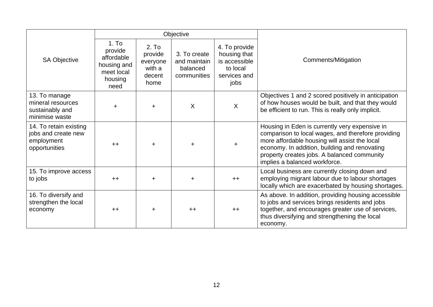|                                                                              |                                                                                           |                                                                      | Objective                                               |                                                                                    |                                                                                                                                                                                                                                                                                        |
|------------------------------------------------------------------------------|-------------------------------------------------------------------------------------------|----------------------------------------------------------------------|---------------------------------------------------------|------------------------------------------------------------------------------------|----------------------------------------------------------------------------------------------------------------------------------------------------------------------------------------------------------------------------------------------------------------------------------------|
| <b>SA Objective</b>                                                          | 1.7 <sub>o</sub><br>provide<br>affordable<br>housing and<br>meet local<br>housing<br>need | 2. T <sub>0</sub><br>provide<br>everyone<br>with a<br>decent<br>home | 3. To create<br>and maintain<br>balanced<br>communities | 4. To provide<br>housing that<br>is accessible<br>to local<br>services and<br>jobs | Comments/Mitigation                                                                                                                                                                                                                                                                    |
| 13. To manage<br>mineral resources<br>sustainably and<br>minimise waste      | ÷                                                                                         | ÷                                                                    | X                                                       | $\sf X$                                                                            | Objectives 1 and 2 scored positively in anticipation<br>of how houses would be built, and that they would<br>be efficient to run. This is really only implicit.                                                                                                                        |
| 14. To retain existing<br>jobs and create new<br>employment<br>opportunities | $++$                                                                                      | $\ddot{}$                                                            | $\ddot{}$                                               | $\ddot{}$                                                                          | Housing in Eden is currently very expensive in<br>comparison to local wages, and therefore providing<br>more affordable housing will assist the local<br>economy. In addition, building and renovating<br>property creates jobs. A balanced community<br>implies a balanced workforce. |
| 15. To improve access<br>to jobs                                             | $++$                                                                                      | $\pm$                                                                | $\ddot{}$                                               | $++$                                                                               | Local business are currently closing down and<br>employing migrant labour due to labour shortages<br>locally which are exacerbated by housing shortages.                                                                                                                               |
| 16. To diversify and<br>strengthen the local<br>economy                      | $++$                                                                                      | $\ddot{}$                                                            | $++$                                                    | $++$                                                                               | As above. In addition, providing housing accessible<br>to jobs and services brings residents and jobs<br>together, and encourages greater use of services,<br>thus diversifying and strengthening the local<br>economy.                                                                |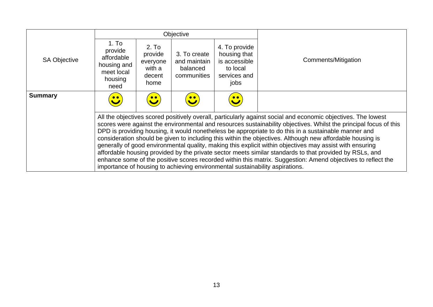|                     | Objective                                                                                                                                                                                                                                                                                                                                                                                                                                                                                                                                                                                                                                                                                                                                                                                                                                                                      |                                                                      |                                                         |                                                                                    |                     |  |
|---------------------|--------------------------------------------------------------------------------------------------------------------------------------------------------------------------------------------------------------------------------------------------------------------------------------------------------------------------------------------------------------------------------------------------------------------------------------------------------------------------------------------------------------------------------------------------------------------------------------------------------------------------------------------------------------------------------------------------------------------------------------------------------------------------------------------------------------------------------------------------------------------------------|----------------------------------------------------------------------|---------------------------------------------------------|------------------------------------------------------------------------------------|---------------------|--|
| <b>SA Objective</b> | 1.7 <sub>o</sub><br>provide<br>affordable<br>housing and<br>meet local<br>housing<br>need                                                                                                                                                                                                                                                                                                                                                                                                                                                                                                                                                                                                                                                                                                                                                                                      | 2. T <sub>O</sub><br>provide<br>everyone<br>with a<br>decent<br>home | 3. To create<br>and maintain<br>balanced<br>communities | 4. To provide<br>housing that<br>is accessible<br>to local<br>services and<br>jobs | Comments/Mitigation |  |
| <b>Summary</b>      |                                                                                                                                                                                                                                                                                                                                                                                                                                                                                                                                                                                                                                                                                                                                                                                                                                                                                |                                                                      |                                                         |                                                                                    |                     |  |
|                     | All the objectives scored positively overall, particularly against social and economic objectives. The lowest<br>scores were against the environmental and resources sustainability objectives. Whilst the principal focus of this<br>DPD is providing housing, it would nonetheless be appropriate to do this in a sustainable manner and<br>consideration should be given to including this within the objectives. Although new affordable housing is<br>generally of good environmental quality, making this explicit within objectives may assist with ensuring<br>affordable housing provided by the private sector meets similar standards to that provided by RSLs, and<br>enhance some of the positive scores recorded within this matrix. Suggestion: Amend objectives to reflect the<br>importance of housing to achieving environmental sustainability aspirations. |                                                                      |                                                         |                                                                                    |                     |  |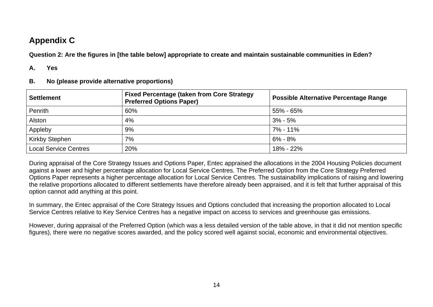# **Appendix C**

**Question 2: Are the figures in [the table below] appropriate to create and maintain sustainable communities in Eden?** 

#### **A. Yes**

**B. No (please provide alternative proportions)** 

| <b>Settlement</b>            | <b>Fixed Percentage (taken from Core Strategy)</b><br><b>Preferred Options Paper)</b> | <b>Possible Alternative Percentage Range</b> |
|------------------------------|---------------------------------------------------------------------------------------|----------------------------------------------|
| Penrith                      | 60%                                                                                   | 55% - 65%                                    |
| Alston                       | 4%                                                                                    | $3\% - 5\%$                                  |
| Appleby                      | 9%                                                                                    | 7% - 11%                                     |
| <b>Kirkby Stephen</b>        | 7%                                                                                    | $6\% - 8\%$                                  |
| <b>Local Service Centres</b> | 20%                                                                                   | 18% - 22%                                    |

During appraisal of the Core Strategy Issues and Options Paper, Entec appraised the allocations in the 2004 Housing Policies document against a lower and higher percentage allocation for Local Service Centres. The Preferred Option from the Core Strategy Preferred Options Paper represents a higher percentage allocation for Local Service Centres. The sustainability implications of raising and lowering the relative proportions allocated to different settlements have therefore already been appraised, and it is felt that further appraisal of this option cannot add anything at this point.

In summary, the Entec appraisal of the Core Strategy Issues and Options concluded that increasing the proportion allocated to Local Service Centres relative to Key Service Centres has a negative impact on access to services and greenhouse gas emissions.

However, during appraisal of the Preferred Option (which was a less detailed version of the table above, in that it did not mention specific figures), there were no negative scores awarded, and the policy scored well against social, economic and environmental objectives.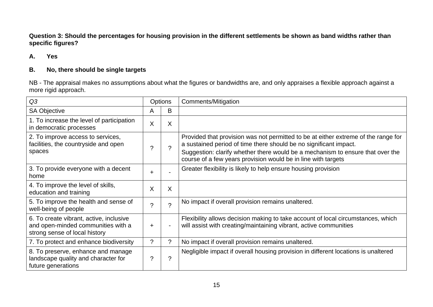**Question 3: Should the percentages for housing provision in the different settlements be shown as band widths rather than specific figures?** 

### **A. Yes**

## **B. No, there should be single targets**

NB - The appraisal makes no assumptions about what the figures or bandwidths are, and only appraises a flexible approach against a more rigid approach.

| Q3                                                                                                             | <b>Options</b> |                       | Comments/Mitigation                                                                                                                                                                                                                                                                                        |
|----------------------------------------------------------------------------------------------------------------|----------------|-----------------------|------------------------------------------------------------------------------------------------------------------------------------------------------------------------------------------------------------------------------------------------------------------------------------------------------------|
| <b>SA Objective</b>                                                                                            | A              | B                     |                                                                                                                                                                                                                                                                                                            |
| 1. To increase the level of participation<br>in democratic processes                                           | X              | X                     |                                                                                                                                                                                                                                                                                                            |
| 2. To improve access to services,<br>facilities, the countryside and open<br>spaces                            | ?              | $\boldsymbol{\gamma}$ | Provided that provision was not permitted to be at either extreme of the range for<br>a sustained period of time there should be no significant impact.<br>Suggestion: clarify whether there would be a mechanism to ensure that over the<br>course of a few years provision would be in line with targets |
| 3. To provide everyone with a decent<br>home                                                                   | $\ddot{}$      |                       | Greater flexibility is likely to help ensure housing provision                                                                                                                                                                                                                                             |
| 4. To improve the level of skills,<br>education and training                                                   | X              | X                     |                                                                                                                                                                                                                                                                                                            |
| 5. To improve the health and sense of<br>well-being of people                                                  | $\gamma$       | $\mathcal{P}$         | No impact if overall provision remains unaltered.                                                                                                                                                                                                                                                          |
| 6. To create vibrant, active, inclusive<br>and open-minded communities with a<br>strong sense of local history | $\ddot{}$      | $\blacksquare$        | Flexibility allows decision making to take account of local circumstances, which<br>will assist with creating/maintaining vibrant, active communities                                                                                                                                                      |
| 7. To protect and enhance biodiversity                                                                         | ?              | ?                     | No impact if overall provision remains unaltered.                                                                                                                                                                                                                                                          |
| 8. To preserve, enhance and manage<br>landscape quality and character for<br>future generations                | ?              | ?                     | Negligible impact if overall housing provision in different locations is unaltered                                                                                                                                                                                                                         |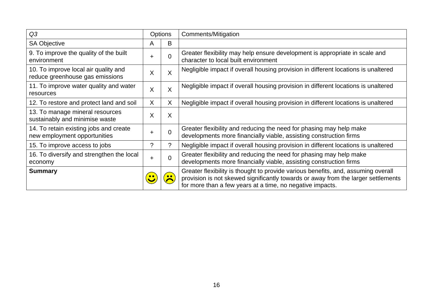| Q <sub>3</sub>                                                          |           | <b>Options</b> | Comments/Mitigation                                                                                                                                                                                                                 |
|-------------------------------------------------------------------------|-----------|----------------|-------------------------------------------------------------------------------------------------------------------------------------------------------------------------------------------------------------------------------------|
| <b>SA Objective</b>                                                     | A         | B              |                                                                                                                                                                                                                                     |
| 9. To improve the quality of the built<br>environment                   | ÷         | $\overline{0}$ | Greater flexibility may help ensure development is appropriate in scale and<br>character to local built environment                                                                                                                 |
| 10. To improve local air quality and<br>reduce greenhouse gas emissions | X         | X              | Negligible impact if overall housing provision in different locations is unaltered                                                                                                                                                  |
| 11. To improve water quality and water<br>resources                     | X         | X              | Negligible impact if overall housing provision in different locations is unaltered                                                                                                                                                  |
| 12. To restore and protect land and soil                                | X         | X              | Negligible impact if overall housing provision in different locations is unaltered                                                                                                                                                  |
| 13. To manage mineral resources<br>sustainably and minimise waste       | X         | X              |                                                                                                                                                                                                                                     |
| 14. To retain existing jobs and create<br>new employment opportunities  | $\ddot{}$ | $\overline{0}$ | Greater flexibility and reducing the need for phasing may help make<br>developments more financially viable, assisting construction firms                                                                                           |
| 15. To improve access to jobs                                           | ?         | $\ddot{?}$     | Negligible impact if overall housing provision in different locations is unaltered                                                                                                                                                  |
| 16. To diversify and strengthen the local<br>economy                    | $\div$    | $\overline{0}$ | Greater flexibility and reducing the need for phasing may help make<br>developments more financially viable, assisting construction firms                                                                                           |
| <b>Summary</b>                                                          |           |                | Greater flexibility is thought to provide various benefits, and, assuming overall<br>provision is not skewed significantly towards or away from the larger settlements<br>for more than a few years at a time, no negative impacts. |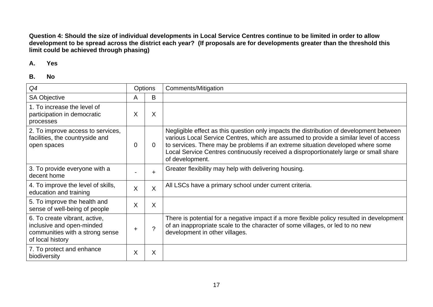**Question 4: Should the size of individual developments in Local Service Centres continue to be limited in order to allow development to be spread across the district each year? (If proposals are for developments greater than the threshold this limit could be achieved through phasing)** 

#### **A. Yes**

| Q4                                                                                                                | Options     |                | Comments/Mitigation                                                                                                                                                                                                                                                                                                                                                             |
|-------------------------------------------------------------------------------------------------------------------|-------------|----------------|---------------------------------------------------------------------------------------------------------------------------------------------------------------------------------------------------------------------------------------------------------------------------------------------------------------------------------------------------------------------------------|
| <b>SA Objective</b>                                                                                               | A           | B              |                                                                                                                                                                                                                                                                                                                                                                                 |
| 1. To increase the level of<br>participation in democratic<br>processes                                           | X           | X              |                                                                                                                                                                                                                                                                                                                                                                                 |
| 2. To improve access to services,<br>facilities, the countryside and<br>open spaces                               | 0           | $\overline{0}$ | Negligible effect as this question only impacts the distribution of development between<br>various Local Service Centres, which are assumed to provide a similar level of access<br>to services. There may be problems if an extreme situation developed where some<br>Local Service Centres continuously received a disproportionately large or small share<br>of development. |
| 3. To provide everyone with a<br>decent home                                                                      |             | $\ddot{}$      | Greater flexibility may help with delivering housing.                                                                                                                                                                                                                                                                                                                           |
| 4. To improve the level of skills,<br>education and training                                                      | X           | X              | All LSCs have a primary school under current criteria.                                                                                                                                                                                                                                                                                                                          |
| 5. To improve the health and<br>sense of well-being of people                                                     | X           | X              |                                                                                                                                                                                                                                                                                                                                                                                 |
| 6. To create vibrant, active,<br>inclusive and open-minded<br>communities with a strong sense<br>of local history | $\mathbf +$ | 2              | There is potential for a negative impact if a more flexible policy resulted in development<br>of an inappropriate scale to the character of some villages, or led to no new<br>development in other villages.                                                                                                                                                                   |
| 7. To protect and enhance<br>biodiversity                                                                         | X           | X              |                                                                                                                                                                                                                                                                                                                                                                                 |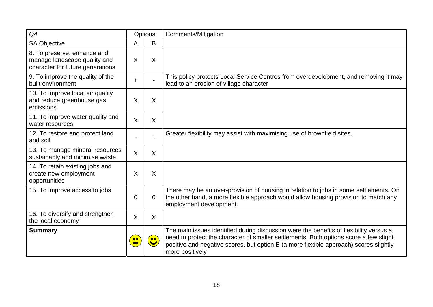| Q4                                                                                              |             | Options   | <b>Comments/Mitigation</b>                                                                                                                                                                                                                                                                  |
|-------------------------------------------------------------------------------------------------|-------------|-----------|---------------------------------------------------------------------------------------------------------------------------------------------------------------------------------------------------------------------------------------------------------------------------------------------|
| <b>SA Objective</b>                                                                             | Α           | B         |                                                                                                                                                                                                                                                                                             |
| 8. To preserve, enhance and<br>manage landscape quality and<br>character for future generations | X           | Χ         |                                                                                                                                                                                                                                                                                             |
| 9. To improve the quality of the<br>built environment                                           | $\ddot{}$   |           | This policy protects Local Service Centres from overdevelopment, and removing it may<br>lead to an erosion of village character                                                                                                                                                             |
| 10. To improve local air quality<br>and reduce greenhouse gas<br>emissions                      | X           | X         |                                                                                                                                                                                                                                                                                             |
| 11. To improve water quality and<br>water resources                                             | $\sf X$     | X         |                                                                                                                                                                                                                                                                                             |
| 12. To restore and protect land<br>and soil                                                     |             | $\ddot{}$ | Greater flexibility may assist with maximising use of brownfield sites.                                                                                                                                                                                                                     |
| 13. To manage mineral resources<br>sustainably and minimise waste                               | $\sf X$     | X         |                                                                                                                                                                                                                                                                                             |
| 14. To retain existing jobs and<br>create new employment<br>opportunities                       | $\sf X$     | X         |                                                                                                                                                                                                                                                                                             |
| 15. To improve access to jobs                                                                   | $\mathbf 0$ | 0         | There may be an over-provision of housing in relation to jobs in some settlements. On<br>the other hand, a more flexible approach would allow housing provision to match any<br>employment development.                                                                                     |
| 16. To diversify and strengthen<br>the local economy                                            | X           | X         |                                                                                                                                                                                                                                                                                             |
| <b>Summary</b>                                                                                  |             | $\bullet$ | The main issues identified during discussion were the benefits of flexibility versus a<br>need to protect the character of smaller settlements. Both options score a few slight<br>positive and negative scores, but option B (a more flexible approach) scores slightly<br>more positively |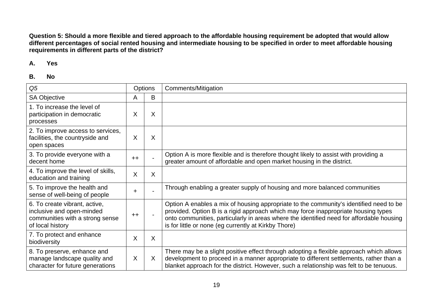**Question 5: Should a more flexible and tiered approach to the affordable housing requirement be adopted that would allow different percentages of social rented housing and intermediate housing to be specified in order to meet affordable housing requirements in different parts of the district?** 

#### **A. Yes**

| Q <sub>5</sub>                                                                                                    | <b>Options</b> |         | Comments/Mitigation                                                                                                                                                                                                                                                                                                              |
|-------------------------------------------------------------------------------------------------------------------|----------------|---------|----------------------------------------------------------------------------------------------------------------------------------------------------------------------------------------------------------------------------------------------------------------------------------------------------------------------------------|
| SA Objective                                                                                                      | Α              | B       |                                                                                                                                                                                                                                                                                                                                  |
| 1. To increase the level of<br>participation in democratic<br>processes                                           | X              | X       |                                                                                                                                                                                                                                                                                                                                  |
| 2. To improve access to services,<br>facilities, the countryside and<br>open spaces                               | X              | Χ       |                                                                                                                                                                                                                                                                                                                                  |
| 3. To provide everyone with a<br>decent home                                                                      | $++$           |         | Option A is more flexible and is therefore thought likely to assist with providing a<br>greater amount of affordable and open market housing in the district.                                                                                                                                                                    |
| 4. To improve the level of skills,<br>education and training                                                      | X              | X       |                                                                                                                                                                                                                                                                                                                                  |
| 5. To improve the health and<br>sense of well-being of people                                                     | ÷              |         | Through enabling a greater supply of housing and more balanced communities                                                                                                                                                                                                                                                       |
| 6. To create vibrant, active,<br>inclusive and open-minded<br>communities with a strong sense<br>of local history | $++$           |         | Option A enables a mix of housing appropriate to the community's identified need to be<br>provided. Option B is a rigid approach which may force inappropriate housing types<br>onto communities, particularly in areas where the identified need for affordable housing<br>is for little or none (eg currently at Kirkby Thore) |
| 7. To protect and enhance<br>biodiversity                                                                         | X              | X       |                                                                                                                                                                                                                                                                                                                                  |
| 8. To preserve, enhance and<br>manage landscape quality and<br>character for future generations                   | X              | $\sf X$ | There may be a slight positive effect through adopting a flexible approach which allows<br>development to proceed in a manner appropriate to different settlements, rather than a<br>blanket approach for the district. However, such a relationship was felt to be tenuous.                                                     |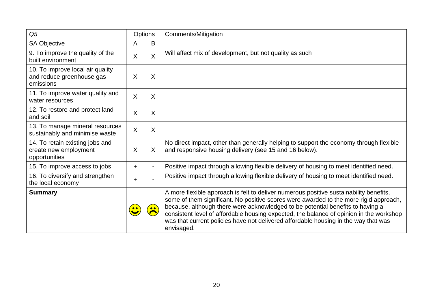| Q <sub>5</sub>                                                             |           | <b>Options</b> | Comments/Mitigation                                                                                                                                                                                                                                                                                                                                                                                                                                               |
|----------------------------------------------------------------------------|-----------|----------------|-------------------------------------------------------------------------------------------------------------------------------------------------------------------------------------------------------------------------------------------------------------------------------------------------------------------------------------------------------------------------------------------------------------------------------------------------------------------|
| <b>SA Objective</b>                                                        | A         | B              |                                                                                                                                                                                                                                                                                                                                                                                                                                                                   |
| 9. To improve the quality of the<br>built environment                      | X         | $\mathsf{X}$   | Will affect mix of development, but not quality as such                                                                                                                                                                                                                                                                                                                                                                                                           |
| 10. To improve local air quality<br>and reduce greenhouse gas<br>emissions | X         | X              |                                                                                                                                                                                                                                                                                                                                                                                                                                                                   |
| 11. To improve water quality and<br>water resources                        | X         | X              |                                                                                                                                                                                                                                                                                                                                                                                                                                                                   |
| 12. To restore and protect land<br>and soil                                | X         | X              |                                                                                                                                                                                                                                                                                                                                                                                                                                                                   |
| 13. To manage mineral resources<br>sustainably and minimise waste          | X         | X              |                                                                                                                                                                                                                                                                                                                                                                                                                                                                   |
| 14. To retain existing jobs and<br>create new employment<br>opportunities  | X         | X              | No direct impact, other than generally helping to support the economy through flexible<br>and responsive housing delivery (see 15 and 16 below).                                                                                                                                                                                                                                                                                                                  |
| 15. To improve access to jobs                                              | ÷         |                | Positive impact through allowing flexible delivery of housing to meet identified need.                                                                                                                                                                                                                                                                                                                                                                            |
| 16. To diversify and strengthen<br>the local economy                       | $\ddot{}$ |                | Positive impact through allowing flexible delivery of housing to meet identified need.                                                                                                                                                                                                                                                                                                                                                                            |
| <b>Summary</b>                                                             |           |                | A more flexible approach is felt to deliver numerous positive sustainability benefits,<br>some of them significant. No positive scores were awarded to the more rigid approach,<br>because, although there were acknowledged to be potential benefits to having a<br>consistent level of affordable housing expected, the balance of opinion in the workshop<br>was that current policies have not delivered affordable housing in the way that was<br>envisaged. |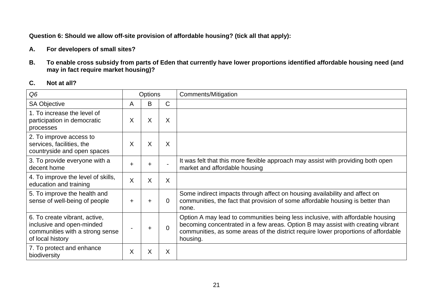**Question 6: Should we allow off-site provision of affordable housing? (tick all that apply):** 

- **A. For developers of small sites?**
- **B. To enable cross subsidy from parts of Eden that currently have lower proportions identified affordable housing need (and may in fact require market housing)?**

### **C. Not at all?**

| Q <sub>6</sub>                                                                                                    | <b>Options</b> |           |              | Comments/Mitigation                                                                                                                                                                                                                                                 |
|-------------------------------------------------------------------------------------------------------------------|----------------|-----------|--------------|---------------------------------------------------------------------------------------------------------------------------------------------------------------------------------------------------------------------------------------------------------------------|
| <b>SA Objective</b>                                                                                               | A              | B         | $\mathsf{C}$ |                                                                                                                                                                                                                                                                     |
| 1. To increase the level of<br>participation in democratic<br>processes                                           | X              | X         | X            |                                                                                                                                                                                                                                                                     |
| 2. To improve access to<br>services, facilities, the<br>countryside and open spaces                               | X              | X         | X            |                                                                                                                                                                                                                                                                     |
| 3. To provide everyone with a<br>decent home                                                                      | ÷              | ÷         |              | It was felt that this more flexible approach may assist with providing both open<br>market and affordable housing                                                                                                                                                   |
| 4. To improve the level of skills,<br>education and training                                                      | X              | X         | X            |                                                                                                                                                                                                                                                                     |
| 5. To improve the health and<br>sense of well-being of people                                                     | $\ddot{}$      | $\ddot{}$ | $\Omega$     | Some indirect impacts through affect on housing availability and affect on<br>communities, the fact that provision of some affordable housing is better than<br>none.                                                                                               |
| 6. To create vibrant, active,<br>inclusive and open-minded<br>communities with a strong sense<br>of local history |                | +         | $\Omega$     | Option A may lead to communities being less inclusive, with affordable housing<br>becoming concentrated in a few areas. Option B may assist with creating vibrant<br>communities, as some areas of the district require lower proportions of affordable<br>housing. |
| 7. To protect and enhance<br>biodiversity                                                                         | X              | X         | X            |                                                                                                                                                                                                                                                                     |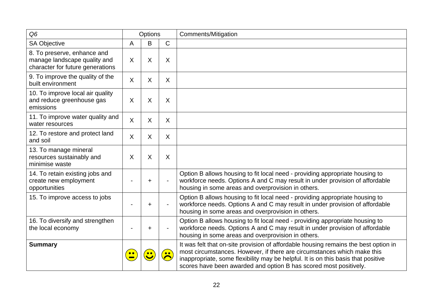| Q <sub>6</sub>                                                                                  |           | Options          |              | <b>Comments/Mitigation</b>                                                                                                                                                                                                                                                                                               |
|-------------------------------------------------------------------------------------------------|-----------|------------------|--------------|--------------------------------------------------------------------------------------------------------------------------------------------------------------------------------------------------------------------------------------------------------------------------------------------------------------------------|
| <b>SA Objective</b>                                                                             | A         | B                | $\mathsf{C}$ |                                                                                                                                                                                                                                                                                                                          |
| 8. To preserve, enhance and<br>manage landscape quality and<br>character for future generations | $\sf X$   | $\times$         | X            |                                                                                                                                                                                                                                                                                                                          |
| 9. To improve the quality of the<br>built environment                                           | $\sf X$   | X                | $\sf X$      |                                                                                                                                                                                                                                                                                                                          |
| 10. To improve local air quality<br>and reduce greenhouse gas<br>emissions                      | $\sf X$   | $\times$         | X            |                                                                                                                                                                                                                                                                                                                          |
| 11. To improve water quality and<br>water resources                                             | $\sf X$   | $\times$         | X            |                                                                                                                                                                                                                                                                                                                          |
| 12. To restore and protect land<br>and soil                                                     | X         | X                | X            |                                                                                                                                                                                                                                                                                                                          |
| 13. To manage mineral<br>resources sustainably and<br>minimise waste                            | X         | $\times$         | X            |                                                                                                                                                                                                                                                                                                                          |
| 14. To retain existing jobs and<br>create new employment<br>opportunities                       |           | +                |              | Option B allows housing to fit local need - providing appropriate housing to<br>workforce needs. Options A and C may result in under provision of affordable<br>housing in some areas and overprovision in others.                                                                                                       |
| 15. To improve access to jobs                                                                   |           | +                |              | Option B allows housing to fit local need - providing appropriate housing to<br>workforce needs. Options A and C may result in under provision of affordable<br>housing in some areas and overprovision in others.                                                                                                       |
| 16. To diversify and strengthen<br>the local economy                                            |           | +                |              | Option B allows housing to fit local need - providing appropriate housing to<br>workforce needs. Options A and C may result in under provision of affordable<br>housing in some areas and overprovision in others.                                                                                                       |
| <b>Summary</b>                                                                                  | $\bullet$ | $\bullet\bullet$ | • •          | It was felt that on-site provision of affordable housing remains the best option in<br>most circumstances. However, if there are circumstances which make this<br>inappropriate, some flexibility may be helpful. It is on this basis that positive<br>scores have been awarded and option B has scored most positively. |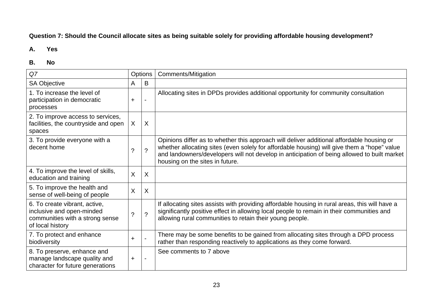## **Question 7: Should the Council allocate sites as being suitable solely for providing affordable housing development?**

### **A. Yes**

| Q7                                                                                                                |                      | Options                   | Comments/Mitigation                                                                                                                                                                                                                                                                                                        |
|-------------------------------------------------------------------------------------------------------------------|----------------------|---------------------------|----------------------------------------------------------------------------------------------------------------------------------------------------------------------------------------------------------------------------------------------------------------------------------------------------------------------------|
| <b>SA Objective</b>                                                                                               | A                    | B                         |                                                                                                                                                                                                                                                                                                                            |
| 1. To increase the level of<br>participation in democratic<br>processes                                           | $\ddot{}$            | $\overline{\phantom{0}}$  | Allocating sites in DPDs provides additional opportunity for community consultation                                                                                                                                                                                                                                        |
| 2. To improve access to services,<br>facilities, the countryside and open<br>spaces                               | X                    | X                         |                                                                                                                                                                                                                                                                                                                            |
| 3. To provide everyone with a<br>decent home                                                                      | $\ddot{\phantom{0}}$ | $\tilde{?}$               | Opinions differ as to whether this approach will deliver additional affordable housing or<br>whether allocating sites (even solely for affordable housing) will give them a "hope" value<br>and landowners/developers will not develop in anticipation of being allowed to built market<br>housing on the sites in future. |
| 4. To improve the level of skills,<br>education and training                                                      | X                    | $\boldsymbol{\mathsf{X}}$ |                                                                                                                                                                                                                                                                                                                            |
| 5. To improve the health and<br>sense of well-being of people                                                     | X                    | $\sf X$                   |                                                                                                                                                                                                                                                                                                                            |
| 6. To create vibrant, active,<br>inclusive and open-minded<br>communities with a strong sense<br>of local history | $\tilde{?}$          | $\overline{?}$            | If allocating sites assists with providing affordable housing in rural areas, this will have a<br>significantly positive effect in allowing local people to remain in their communities and<br>allowing rural communities to retain their young people.                                                                    |
| 7. To protect and enhance<br>biodiversity                                                                         | $\ddot{}$            |                           | There may be some benefits to be gained from allocating sites through a DPD process<br>rather than responding reactively to applications as they come forward.                                                                                                                                                             |
| 8. To preserve, enhance and<br>manage landscape quality and<br>character for future generations                   | $\ddot{}$            |                           | See comments to 7 above                                                                                                                                                                                                                                                                                                    |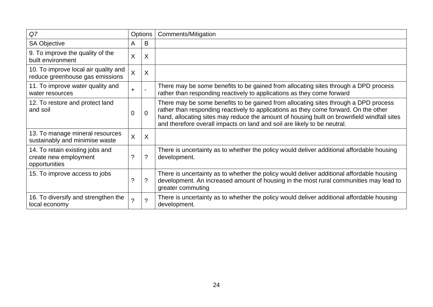| Q7                                                                        | <b>Options</b>          |                           | Comments/Mitigation                                                                                                                                                                                                                                                                                                                                   |
|---------------------------------------------------------------------------|-------------------------|---------------------------|-------------------------------------------------------------------------------------------------------------------------------------------------------------------------------------------------------------------------------------------------------------------------------------------------------------------------------------------------------|
| SA Objective                                                              | A                       | B                         |                                                                                                                                                                                                                                                                                                                                                       |
| 9. To improve the quality of the<br>built environment                     | X                       | $\boldsymbol{\mathsf{X}}$ |                                                                                                                                                                                                                                                                                                                                                       |
| 10. To improve local air quality and<br>reduce greenhouse gas emissions   | $\overline{\mathsf{X}}$ | X                         |                                                                                                                                                                                                                                                                                                                                                       |
| 11. To improve water quality and<br>water resources                       | $\ddot{}$               | $\overline{\phantom{0}}$  | There may be some benefits to be gained from allocating sites through a DPD process<br>rather than responding reactively to applications as they come forward                                                                                                                                                                                         |
| 12. To restore and protect land<br>and soil                               | $\overline{0}$          | $\Omega$                  | There may be some benefits to be gained from allocating sites through a DPD process<br>rather than responding reactively to applications as they come forward. On the other<br>hand, allocating sites may reduce the amount of housing built on brownfield windfall sites<br>and therefore overall impacts on land and soil are likely to be neutral. |
| 13. To manage mineral resources<br>sustainably and minimise waste         | $\overline{\mathsf{X}}$ | $\sf X$                   |                                                                                                                                                                                                                                                                                                                                                       |
| 14. To retain existing jobs and<br>create new employment<br>opportunities | ?                       | ?                         | There is uncertainty as to whether the policy would deliver additional affordable housing<br>development.                                                                                                                                                                                                                                             |
| 15. To improve access to jobs                                             | ?                       | ?                         | There is uncertainty as to whether the policy would deliver additional affordable housing<br>development. An increased amount of housing in the most rural communities may lead to<br>greater commuting                                                                                                                                               |
| 16. To diversify and strengthen the<br>local economy                      | $\overline{?}$          | ?                         | There is uncertainty as to whether the policy would deliver additional affordable housing<br>development.                                                                                                                                                                                                                                             |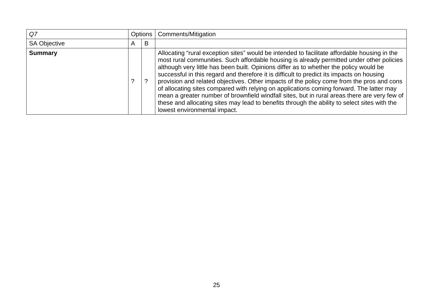| Q7                  |   |   | Options   Comments/Mitigation                                                                                                                                                                                                                                                                                                                                                                                                                                                                                                                                                                                                                                                                                                                                                                             |
|---------------------|---|---|-----------------------------------------------------------------------------------------------------------------------------------------------------------------------------------------------------------------------------------------------------------------------------------------------------------------------------------------------------------------------------------------------------------------------------------------------------------------------------------------------------------------------------------------------------------------------------------------------------------------------------------------------------------------------------------------------------------------------------------------------------------------------------------------------------------|
| <b>SA Objective</b> | A | B |                                                                                                                                                                                                                                                                                                                                                                                                                                                                                                                                                                                                                                                                                                                                                                                                           |
| <b>Summary</b>      |   | ? | Allocating "rural exception sites" would be intended to facilitate affordable housing in the<br>most rural communities. Such affordable housing is already permitted under other policies<br>although very little has been built. Opinions differ as to whether the policy would be<br>successful in this regard and therefore it is difficult to predict its impacts on housing<br>provision and related objectives. Other impacts of the policy come from the pros and cons<br>of allocating sites compared with relying on applications coming forward. The latter may<br>mean a greater number of brownfield windfall sites, but in rural areas there are very few of<br>these and allocating sites may lead to benefits through the ability to select sites with the<br>lowest environmental impact. |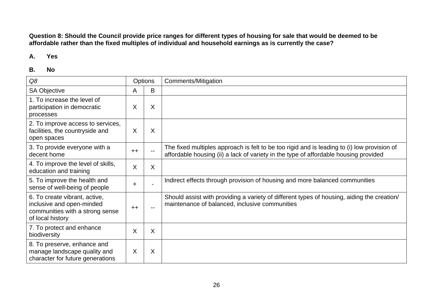**Question 8: Should the Council provide price ranges for different types of housing for sale that would be deemed to be affordable rather than the fixed multiples of individual and household earnings as is currently the case?** 

#### **A. Yes**

| Q8                                                                                                                |      | <b>Options</b> | Comments/Mitigation                                                                                                                                                                 |
|-------------------------------------------------------------------------------------------------------------------|------|----------------|-------------------------------------------------------------------------------------------------------------------------------------------------------------------------------------|
| <b>SA Objective</b>                                                                                               | A    | B              |                                                                                                                                                                                     |
| 1. To increase the level of<br>participation in democratic<br>processes                                           | X    | X              |                                                                                                                                                                                     |
| 2. To improve access to services,<br>facilities, the countryside and<br>open spaces                               | X    | X              |                                                                                                                                                                                     |
| 3. To provide everyone with a<br>decent home                                                                      | $++$ |                | The fixed multiples approach is felt to be too rigid and is leading to (i) low provision of<br>affordable housing (ii) a lack of variety in the type of affordable housing provided |
| 4. To improve the level of skills,<br>education and training                                                      | X    | $\sf X$        |                                                                                                                                                                                     |
| 5. To improve the health and<br>sense of well-being of people                                                     | ÷.   |                | Indirect effects through provision of housing and more balanced communities                                                                                                         |
| 6. To create vibrant, active,<br>inclusive and open-minded<br>communities with a strong sense<br>of local history | $++$ |                | Should assist with providing a variety of different types of housing, aiding the creation/<br>maintenance of balanced, inclusive communities                                        |
| 7. To protect and enhance<br>biodiversity                                                                         | X    | $\sf X$        |                                                                                                                                                                                     |
| 8. To preserve, enhance and<br>manage landscape quality and<br>character for future generations                   | X    | X              |                                                                                                                                                                                     |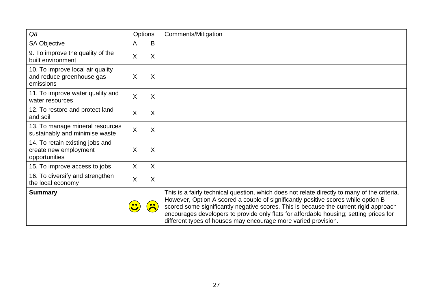| Q8                                                                         |         | Options   | Comments/Mitigation                                                                                                                                                                                                                                                                                                                                                                                                                    |
|----------------------------------------------------------------------------|---------|-----------|----------------------------------------------------------------------------------------------------------------------------------------------------------------------------------------------------------------------------------------------------------------------------------------------------------------------------------------------------------------------------------------------------------------------------------------|
| SA Objective                                                               | A       | B         |                                                                                                                                                                                                                                                                                                                                                                                                                                        |
| 9. To improve the quality of the<br>built environment                      | X       | $\sf X$   |                                                                                                                                                                                                                                                                                                                                                                                                                                        |
| 10. To improve local air quality<br>and reduce greenhouse gas<br>emissions | X       | X         |                                                                                                                                                                                                                                                                                                                                                                                                                                        |
| 11. To improve water quality and<br>water resources                        | X       | X         |                                                                                                                                                                                                                                                                                                                                                                                                                                        |
| 12. To restore and protect land<br>and soil                                | X       | X         |                                                                                                                                                                                                                                                                                                                                                                                                                                        |
| 13. To manage mineral resources<br>sustainably and minimise waste          | $\sf X$ | X         |                                                                                                                                                                                                                                                                                                                                                                                                                                        |
| 14. To retain existing jobs and<br>create new employment<br>opportunities  | X       | Χ         |                                                                                                                                                                                                                                                                                                                                                                                                                                        |
| 15. To improve access to jobs                                              | X       | $\sf X$   |                                                                                                                                                                                                                                                                                                                                                                                                                                        |
| 16. To diversify and strengthen<br>the local economy                       | X       | X         |                                                                                                                                                                                                                                                                                                                                                                                                                                        |
| <b>Summary</b>                                                             |         | $\bullet$ | This is a fairly technical question, which does not relate directly to many of the criteria.<br>However, Option A scored a couple of significantly positive scores while option B<br>scored some significantly negative scores. This is because the current rigid approach<br>encourages developers to provide only flats for affordable housing; setting prices for<br>different types of houses may encourage more varied provision. |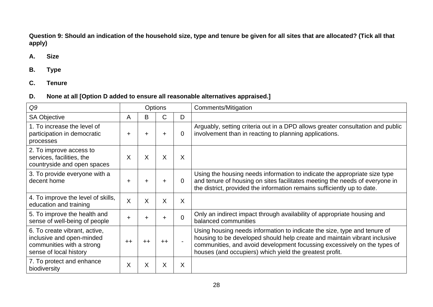**Question 9: Should an indication of the household size, type and tenure be given for all sites that are allocated? (Tick all that apply)** 

## **A. Size**

- **B. Type**
- **C. Tenure**

## **D. None at all [Option D added to ensure all reasonable alternatives appraised.]**

| Q9                                                                                                                |           |                 | <b>Options</b> |                | Comments/Mitigation                                                                                                                                                                                                                                                                          |
|-------------------------------------------------------------------------------------------------------------------|-----------|-----------------|----------------|----------------|----------------------------------------------------------------------------------------------------------------------------------------------------------------------------------------------------------------------------------------------------------------------------------------------|
| <b>SA Objective</b>                                                                                               | A         | B               | C              | D              |                                                                                                                                                                                                                                                                                              |
| 1. To increase the level of<br>participation in democratic<br>processes                                           | $\ddot{}$ | $\ddot{}$       | $\ddot{}$      | $\overline{0}$ | Arguably, setting criteria out in a DPD allows greater consultation and public<br>involvement than in reacting to planning applications.                                                                                                                                                     |
| 2. To improve access to<br>services, facilities, the<br>countryside and open spaces                               | X         | X               | X              | $\sf X$        |                                                                                                                                                                                                                                                                                              |
| 3. To provide everyone with a<br>decent home                                                                      | +         | +               | ÷              | $\overline{0}$ | Using the housing needs information to indicate the appropriate size type<br>and tenure of housing on sites facilitates meeting the needs of everyone in<br>the district, provided the information remains sufficiently up to date.                                                          |
| 4. To improve the level of skills,<br>education and training                                                      | $\sf X$   | X               | X              | $\sf X$        |                                                                                                                                                                                                                                                                                              |
| 5. To improve the health and<br>sense of well-being of people                                                     | $\ddot{}$ |                 | +              | $\Omega$       | Only an indirect impact through availability of appropriate housing and<br>balanced communities                                                                                                                                                                                              |
| 6. To create vibrant, active,<br>inclusive and open-minded<br>communities with a strong<br>sense of local history | $++$      | $^{\mathrm{+}}$ | $++$           |                | Using housing needs information to indicate the size, type and tenure of<br>housing to be developed should help create and maintain vibrant inclusive<br>communities, and avoid development focussing excessively on the types of<br>houses (and occupiers) which yield the greatest profit. |
| 7. To protect and enhance<br>biodiversity                                                                         | X         | X               | X              | X              |                                                                                                                                                                                                                                                                                              |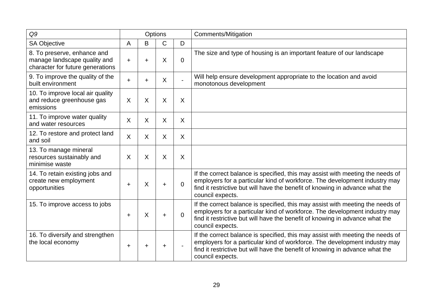| Q9                                                                                              | Options   |           |              |                           | <b>Comments/Mitigation</b>                                                                                                                                                                                                                                       |
|-------------------------------------------------------------------------------------------------|-----------|-----------|--------------|---------------------------|------------------------------------------------------------------------------------------------------------------------------------------------------------------------------------------------------------------------------------------------------------------|
| <b>SA Objective</b>                                                                             | A         | B         | $\mathsf{C}$ | D                         |                                                                                                                                                                                                                                                                  |
| 8. To preserve, enhance and<br>manage landscape quality and<br>character for future generations | +         | $\ddot{}$ | X            | $\overline{0}$            | The size and type of housing is an important feature of our landscape                                                                                                                                                                                            |
| 9. To improve the quality of the<br>built environment                                           | $\ddot{}$ | $\ddot{}$ | $\sf X$      | $\blacksquare$            | Will help ensure development appropriate to the location and avoid<br>monotonous development                                                                                                                                                                     |
| 10. To improve local air quality<br>and reduce greenhouse gas<br>emissions                      | X         | $\sf X$   | $\sf X$      | $\boldsymbol{\mathsf{X}}$ |                                                                                                                                                                                                                                                                  |
| 11. To improve water quality<br>and water resources                                             | X         | $\sf X$   | X.           | X                         |                                                                                                                                                                                                                                                                  |
| 12. To restore and protect land<br>and soil                                                     | X         | $\sf X$   | X.           | $\sf X$                   |                                                                                                                                                                                                                                                                  |
| 13. To manage mineral<br>resources sustainably and<br>minimise waste                            | X         | $\sf X$   | X            | $\sf X$                   |                                                                                                                                                                                                                                                                  |
| 14. To retain existing jobs and<br>create new employment<br>opportunities                       | $\ddot{}$ | X         | $\ddot{}$    | $\Omega$                  | If the correct balance is specified, this may assist with meeting the needs of<br>employers for a particular kind of workforce. The development industry may<br>find it restrictive but will have the benefit of knowing in advance what the<br>council expects. |
| 15. To improve access to jobs                                                                   | $\ddot{}$ | X         | $\ddot{}$    | $\Omega$                  | If the correct balance is specified, this may assist with meeting the needs of<br>employers for a particular kind of workforce. The development industry may<br>find it restrictive but will have the benefit of knowing in advance what the<br>council expects. |
| 16. To diversify and strengthen<br>the local economy                                            | ÷         | ÷         | ÷            |                           | If the correct balance is specified, this may assist with meeting the needs of<br>employers for a particular kind of workforce. The development industry may<br>find it restrictive but will have the benefit of knowing in advance what the<br>council expects. |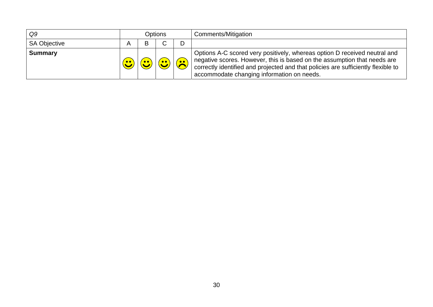| Q9                  |     | Options |  |           | Comments/Mitigation                                                                                                                                                                                                                                                                      |
|---------------------|-----|---------|--|-----------|------------------------------------------------------------------------------------------------------------------------------------------------------------------------------------------------------------------------------------------------------------------------------------------|
| <b>SA Objective</b> |     | R       |  |           |                                                                                                                                                                                                                                                                                          |
| <b>Summary</b>      | • • |         |  | $\bullet$ | Options A-C scored very positively, whereas option D received neutral and<br>negative scores. However, this is based on the assumption that needs are<br>correctly identified and projected and that policies are sufficiently flexible to<br>accommodate changing information on needs. |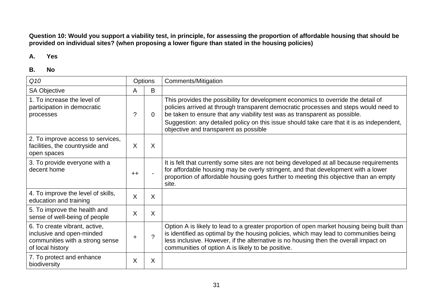**Question 10: Would you support a viability test, in principle, for assessing the proportion of affordable housing that should be provided on individual sites? (when proposing a lower figure than stated in the housing policies)** 

#### **A. Yes**

| Q10                                                                                                               | Options |               | Comments/Mitigation                                                                                                                                                                                                                                                                                                                                                                           |
|-------------------------------------------------------------------------------------------------------------------|---------|---------------|-----------------------------------------------------------------------------------------------------------------------------------------------------------------------------------------------------------------------------------------------------------------------------------------------------------------------------------------------------------------------------------------------|
| <b>SA Objective</b>                                                                                               | Α       | B             |                                                                                                                                                                                                                                                                                                                                                                                               |
| 1. To increase the level of<br>participation in democratic<br>processes                                           | ?       | $\Omega$      | This provides the possibility for development economics to override the detail of<br>policies arrived at through transparent democratic processes and steps would need to<br>be taken to ensure that any viability test was as transparent as possible.<br>Suggestion: any detailed policy on this issue should take care that it is as independent,<br>objective and transparent as possible |
| 2. To improve access to services,<br>facilities, the countryside and<br>open spaces                               | $\sf X$ | X             |                                                                                                                                                                                                                                                                                                                                                                                               |
| 3. To provide everyone with a<br>decent home                                                                      | $++$    |               | It is felt that currently some sites are not being developed at all because requirements<br>for affordable housing may be overly stringent, and that development with a lower<br>proportion of affordable housing goes further to meeting this objective than an empty<br>site.                                                                                                               |
| 4. To improve the level of skills,<br>education and training                                                      | X       | X             |                                                                                                                                                                                                                                                                                                                                                                                               |
| 5. To improve the health and<br>sense of well-being of people                                                     | $\sf X$ | X             |                                                                                                                                                                                                                                                                                                                                                                                               |
| 6. To create vibrant, active,<br>inclusive and open-minded<br>communities with a strong sense<br>of local history | +       | $\mathcal{P}$ | Option A is likely to lead to a greater proportion of open market housing being built than<br>is identified as optimal by the housing policies, which may lead to communities being<br>less inclusive. However, if the alternative is no housing then the overall impact on<br>communities of option A is likely to be positive.                                                              |
| 7. To protect and enhance<br>biodiversity                                                                         | X       | X             |                                                                                                                                                                                                                                                                                                                                                                                               |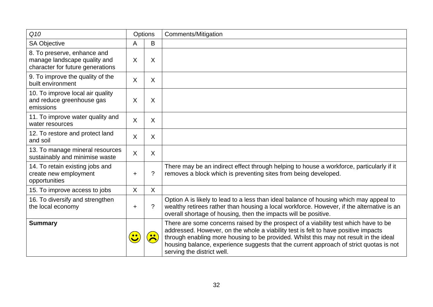| Q10                                                                                             |           | Options        | Comments/Mitigation                                                                                                                                                                                                                                                                                                                                                                        |
|-------------------------------------------------------------------------------------------------|-----------|----------------|--------------------------------------------------------------------------------------------------------------------------------------------------------------------------------------------------------------------------------------------------------------------------------------------------------------------------------------------------------------------------------------------|
| <b>SA Objective</b>                                                                             | Α         | B              |                                                                                                                                                                                                                                                                                                                                                                                            |
| 8. To preserve, enhance and<br>manage landscape quality and<br>character for future generations | X         | X              |                                                                                                                                                                                                                                                                                                                                                                                            |
| 9. To improve the quality of the<br>built environment                                           | X         | X              |                                                                                                                                                                                                                                                                                                                                                                                            |
| 10. To improve local air quality<br>and reduce greenhouse gas<br>emissions                      | X         | X              |                                                                                                                                                                                                                                                                                                                                                                                            |
| 11. To improve water quality and<br>water resources                                             | X         | $\sf X$        |                                                                                                                                                                                                                                                                                                                                                                                            |
| 12. To restore and protect land<br>and soil                                                     | X         | X              |                                                                                                                                                                                                                                                                                                                                                                                            |
| 13. To manage mineral resources<br>sustainably and minimise waste                               | X         | X              |                                                                                                                                                                                                                                                                                                                                                                                            |
| 14. To retain existing jobs and<br>create new employment<br>opportunities                       | $\ddot{}$ | $\overline{?}$ | There may be an indirect effect through helping to house a workforce, particularly if it<br>removes a block which is preventing sites from being developed.                                                                                                                                                                                                                                |
| 15. To improve access to jobs                                                                   | X         | $\overline{X}$ |                                                                                                                                                                                                                                                                                                                                                                                            |
| 16. To diversify and strengthen<br>the local economy                                            | $\ddot{}$ | $\overline{?}$ | Option A is likely to lead to a less than ideal balance of housing which may appeal to<br>wealthy retirees rather than housing a local workforce. However, if the alternative is an<br>overall shortage of housing, then the impacts will be positive.                                                                                                                                     |
| <b>Summary</b>                                                                                  |           |                | There are some concerns raised by the prospect of a viability test which have to be<br>addressed. However, on the whole a viability test is felt to have positive impacts<br>through enabling more housing to be provided. Whilst this may not result in the ideal<br>housing balance, experience suggests that the current approach of strict quotas is not<br>serving the district well. |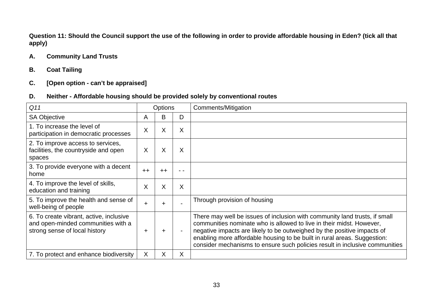**Question 11: Should the Council support the use of the following in order to provide affordable housing in Eden? (tick all that apply)** 

## **A. Community Land Trusts**

## **B. Coat Tailing**

## **C. [Open option - can't be appraised]**

## **D. Neither - Affordable housing should be provided solely by conventional routes**

| Q11                                                                                                            |           | <b>Options</b> |     | Comments/Mitigation                                                                                                                                                                                                                                                                                                                                                                      |
|----------------------------------------------------------------------------------------------------------------|-----------|----------------|-----|------------------------------------------------------------------------------------------------------------------------------------------------------------------------------------------------------------------------------------------------------------------------------------------------------------------------------------------------------------------------------------------|
| <b>SA Objective</b>                                                                                            | A         | B              | D   |                                                                                                                                                                                                                                                                                                                                                                                          |
| 1. To increase the level of<br>participation in democratic processes                                           | X         | X              | X   |                                                                                                                                                                                                                                                                                                                                                                                          |
| 2. To improve access to services,<br>facilities, the countryside and open<br>spaces                            | X         | X              | X   |                                                                                                                                                                                                                                                                                                                                                                                          |
| 3. To provide everyone with a decent<br>home                                                                   | $++$      | $++$           | - - |                                                                                                                                                                                                                                                                                                                                                                                          |
| 4. To improve the level of skills,<br>education and training                                                   | X         | X              | X   |                                                                                                                                                                                                                                                                                                                                                                                          |
| 5. To improve the health and sense of<br>well-being of people                                                  | $\ddot{}$ |                |     | Through provision of housing                                                                                                                                                                                                                                                                                                                                                             |
| 6. To create vibrant, active, inclusive<br>and open-minded communities with a<br>strong sense of local history | +         |                |     | There may well be issues of inclusion with community land trusts, if small<br>communities nominate who is allowed to live in their midst. However,<br>negative impacts are likely to be outweighed by the positive impacts of<br>enabling more affordable housing to be built in rural areas. Suggestion:<br>consider mechanisms to ensure such policies result in inclusive communities |
| 7. To protect and enhance biodiversity                                                                         | X         | X              | X   |                                                                                                                                                                                                                                                                                                                                                                                          |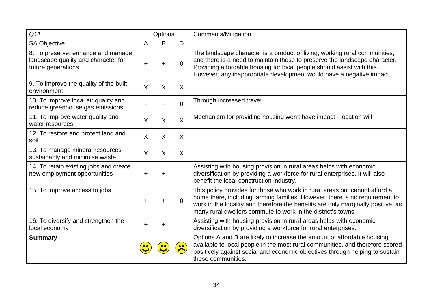| Q11                                                                                             |   | Options |                  | Comments/Mitigation                                                                                                                                                                                                                                                                                           |
|-------------------------------------------------------------------------------------------------|---|---------|------------------|---------------------------------------------------------------------------------------------------------------------------------------------------------------------------------------------------------------------------------------------------------------------------------------------------------------|
| <b>SA Objective</b>                                                                             | Α | B       | D                |                                                                                                                                                                                                                                                                                                               |
| 8. To preserve, enhance and manage<br>landscape quality and character for<br>future generations | ÷ | ٠       | $\Omega$         | The landscape character is a product of living, working rural communities,<br>and there is a need to maintain these to preserve the landscape character.<br>Providing affordable housing for local people should assist with this.<br>However, any inappropriate development would have a negative impact.    |
| 9. To improve the quality of the built<br>environment                                           | X | X       | X                |                                                                                                                                                                                                                                                                                                               |
| 10. To improve local air quality and<br>reduce greenhouse gas emissions                         |   |         | $\overline{0}$   | Through increased travel                                                                                                                                                                                                                                                                                      |
| 11. To improve water quality and<br>water resources                                             | X | X       | $\sf X$          | Mechanism for providing housing won't have impact - location will                                                                                                                                                                                                                                             |
| 12. To restore and protect land and<br>soil                                                     | X | X       | X                |                                                                                                                                                                                                                                                                                                               |
| 13. To manage mineral resources<br>sustainably and minimise waste                               | X | X       | X                |                                                                                                                                                                                                                                                                                                               |
| 14. To retain existing jobs and create<br>new employment opportunities                          | ÷ |         |                  | Assisting with housing provision in rural areas helps with economic<br>diversification by providing a workforce for rural enterprises. It will also<br>benefit the local construction industry.                                                                                                               |
| 15. To improve access to jobs                                                                   | ÷ |         | $\Omega$         | This policy provides for those who work in rural areas but cannot afford a<br>home there, including farming families. However, there is no requirement to<br>work in the locality and therefore the benefits are only marginally positive, as<br>many rural dwellers commute to work in the district's towns. |
| 16. To diversify and strengthen the<br>local economy                                            | ÷ |         |                  | Assisting with housing provision in rural areas helps with economic<br>diversification by providing a workforce for rural enterprises.                                                                                                                                                                        |
| <b>Summary</b>                                                                                  |   |         | $\bullet\bullet$ | Options A and B are likely to increase the amount of affordable housing<br>available to local people in the most rural communities, and therefore scored<br>positively against social and economic objectives through helping to sustain<br>these communities.                                                |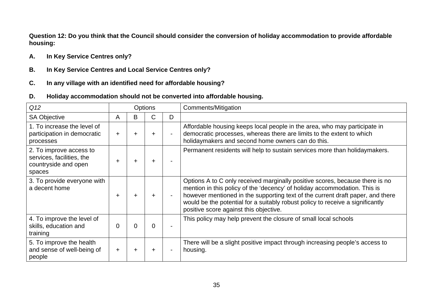**Question 12: Do you think that the Council should consider the conversion of holiday accommodation to provide affordable housing:** 

- **A. In Key Service Centres only?**
- **B. In Key Service Centres and Local Service Centres only?**
- **C. In any village with an identified need for affordable housing?**
- **D. Holiday accommodation should not be converted into affordable housing.**

| Q <sub>12</sub>                                                                        | <b>Options</b> |           |        |                | Comments/Mitigation                                                                                                                                                                                                                                                                                                                                                     |
|----------------------------------------------------------------------------------------|----------------|-----------|--------|----------------|-------------------------------------------------------------------------------------------------------------------------------------------------------------------------------------------------------------------------------------------------------------------------------------------------------------------------------------------------------------------------|
| <b>SA Objective</b>                                                                    | A              | B         | C.     | D              |                                                                                                                                                                                                                                                                                                                                                                         |
| 1. To increase the level of<br>participation in democratic<br>processes                | $\ddot{}$      | $\ddot{}$ | $\div$ | $\overline{a}$ | Affordable housing keeps local people in the area, who may participate in<br>democratic processes, whereas there are limits to the extent to which<br>holidaymakers and second home owners can do this.                                                                                                                                                                 |
| 2. To improve access to<br>services, facilities, the<br>countryside and open<br>spaces | ٠              | ┿         | ┿      | $\blacksquare$ | Permanent residents will help to sustain services more than holiday makers.                                                                                                                                                                                                                                                                                             |
| 3. To provide everyone with<br>a decent home                                           | $\div$         | ÷         | $+$    | $\overline{a}$ | Options A to C only received marginally positive scores, because there is no<br>mention in this policy of the 'decency' of holiday accommodation. This is<br>however mentioned in the supporting text of the current draft paper, and there<br>would be the potential for a suitably robust policy to receive a significantly<br>positive score against this objective. |
| 4. To improve the level of<br>skills, education and<br>training                        | 0              | 0         | 0      |                | This policy may help prevent the closure of small local schools                                                                                                                                                                                                                                                                                                         |
| 5. To improve the health<br>and sense of well-being of<br>people                       | $\pm$          |           |        |                | There will be a slight positive impact through increasing people's access to<br>housing.                                                                                                                                                                                                                                                                                |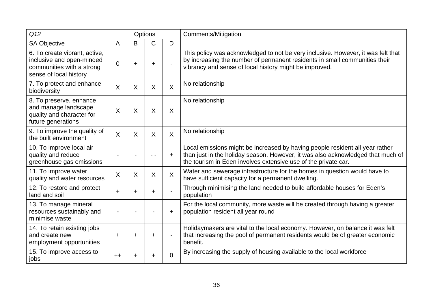| Q <sub>12</sub>                                                                                                   | Options        |           |              |                | <b>Comments/Mitigation</b>                                                                                                                                                                                                        |
|-------------------------------------------------------------------------------------------------------------------|----------------|-----------|--------------|----------------|-----------------------------------------------------------------------------------------------------------------------------------------------------------------------------------------------------------------------------------|
| <b>SA Objective</b>                                                                                               | A              | B         | $\mathsf{C}$ | D              |                                                                                                                                                                                                                                   |
| 6. To create vibrant, active,<br>inclusive and open-minded<br>communities with a strong<br>sense of local history | $\overline{0}$ | $\ddot{}$ | ÷.           |                | This policy was acknowledged to not be very inclusive. However, it was felt that<br>by increasing the number of permanent residents in small communities their<br>vibrancy and sense of local history might be improved.          |
| 7. To protect and enhance<br>biodiversity                                                                         | X              | X         | $\sf X$      | $\sf X$        | No relationship                                                                                                                                                                                                                   |
| 8. To preserve, enhance<br>and manage landscape<br>quality and character for<br>future generations                | X              | X         | X            | X              | No relationship                                                                                                                                                                                                                   |
| 9. To improve the quality of<br>the built environment                                                             | X              | X         | X            | $\sf X$        | No relationship                                                                                                                                                                                                                   |
| 10. To improve local air<br>quality and reduce<br>greenhouse gas emissions                                        |                |           |              | $\ddot{}$      | Local emissions might be increased by having people resident all year rather<br>than just in the holiday season. However, it was also acknowledged that much of<br>the tourism in Eden involves extensive use of the private car. |
| 11. To improve water<br>quality and water resources                                                               | X              | X         | X            | $\sf X$        | Water and sewerage infrastructure for the homes in question would have to<br>have sufficient capacity for a permanent dwelling.                                                                                                   |
| 12. To restore and protect<br>land and soil                                                                       | ٠.             | ÷         | ÷.           |                | Through minimising the land needed to build affordable houses for Eden's<br>population                                                                                                                                            |
| 13. To manage mineral<br>resources sustainably and<br>minimise waste                                              |                |           |              | $\ddot{}$      | For the local community, more waste will be created through having a greater<br>population resident all year round                                                                                                                |
| 14. To retain existing jobs<br>and create new<br>employment opportunities                                         | $\ddot{}$      | $\ddot{}$ | $+$          | $\overline{a}$ | Holidaymakers are vital to the local economy. However, on balance it was felt<br>that increasing the pool of permanent residents would be of greater economic<br>benefit.                                                         |
| 15. To improve access to<br>jobs                                                                                  | $++$           | +         | +            | $\overline{0}$ | By increasing the supply of housing available to the local workforce                                                                                                                                                              |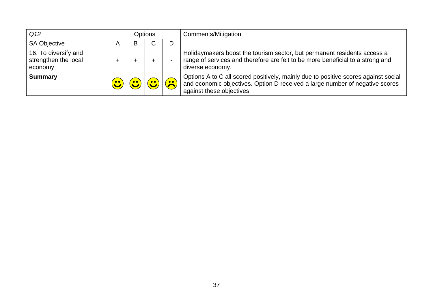| Q <sub>12</sub>                                         | <b>Options</b> |   |  |                         | <b>Comments/Mitigation</b>                                                                                                                                                                      |
|---------------------------------------------------------|----------------|---|--|-------------------------|-------------------------------------------------------------------------------------------------------------------------------------------------------------------------------------------------|
| <b>SA Objective</b>                                     | A              | B |  | D                       |                                                                                                                                                                                                 |
| 16. To diversify and<br>strengthen the local<br>economy |                |   |  |                         | Holidaymakers boost the tourism sector, but permanent residents access a<br>range of services and therefore are felt to be more beneficial to a strong and<br>diverse economy.                  |
| <b>Summary</b>                                          |                |   |  | $\overline{\mathbf{S}}$ | Options A to C all scored positively, mainly due to positive scores against social<br>and economic objectives. Option D received a large number of negative scores<br>against these objectives. |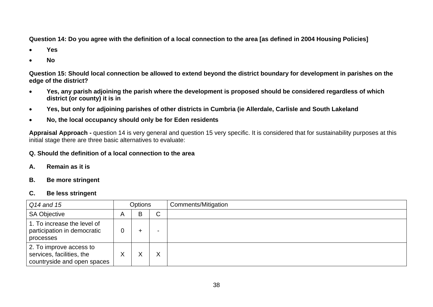**Question 14: Do you agree with the definition of a local connection to the area [as defined in 2004 Housing Policies]** 

- •**Yes**
- •**No**

**Question 15: Should local connection be allowed to extend beyond the district boundary for development in parishes on the edge of the district?** 

- • **Yes, any parish adjoining the parish where the development is proposed should be considered regardless of which district (or county) it is in**
- •**Yes, but only for adjoining parishes of other districts in Cumbria (ie Allerdale, Carlisle and South Lakeland**
- •**No, the local occupancy should only be for Eden residents**

**Appraisal Approach -** question 14 is very general and question 15 very specific. It is considered that for sustainability purposes at this initial stage there are three basic alternatives to evaluate:

#### **Q. Should the definition of a local connection to the area**

- **A. Remain as it is**
- **B. Be more stringent**

## **C. Be less stringent**

| Q14 and 15                                                                          | <b>Options</b> |   |   | Comments/Mitigation |
|-------------------------------------------------------------------------------------|----------------|---|---|---------------------|
| <b>SA Objective</b>                                                                 | A              | B | C |                     |
| 1. To increase the level of<br>participation in democratic<br>processes             |                |   |   |                     |
| 2. To improve access to<br>services, facilities, the<br>countryside and open spaces |                |   |   |                     |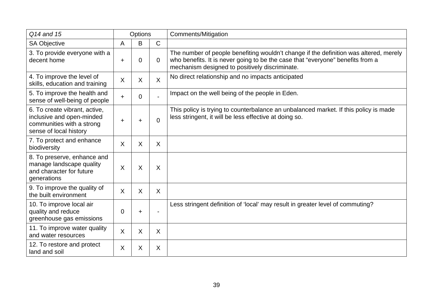| Q14 and 15                                                                                                        |           | Options        |                | <b>Comments/Mitigation</b>                                                                                                                                                                                                |
|-------------------------------------------------------------------------------------------------------------------|-----------|----------------|----------------|---------------------------------------------------------------------------------------------------------------------------------------------------------------------------------------------------------------------------|
| <b>SA Objective</b>                                                                                               | A         | B              | $\mathsf{C}$   |                                                                                                                                                                                                                           |
| 3. To provide everyone with a<br>decent home                                                                      | $\ddot{}$ | $\mathbf 0$    | $\overline{0}$ | The number of people benefiting wouldn't change if the definition was altered, merely<br>who benefits. It is never going to be the case that "everyone" benefits from a<br>mechanism designed to positively discriminate. |
| 4. To improve the level of<br>skills, education and training                                                      | X         | X              | $\mathsf{X}$   | No direct relationship and no impacts anticipated                                                                                                                                                                         |
| 5. To improve the health and<br>sense of well-being of people                                                     | $\ddot{}$ | $\overline{0}$ |                | Impact on the well being of the people in Eden.                                                                                                                                                                           |
| 6. To create vibrant, active,<br>inclusive and open-minded<br>communities with a strong<br>sense of local history | $\ddot{}$ | $\ddot{}$      | $\Omega$       | This policy is trying to counterbalance an unbalanced market. If this policy is made<br>less stringent, it will be less effective at doing so.                                                                            |
| 7. To protect and enhance<br>biodiversity                                                                         | X         | X              | X              |                                                                                                                                                                                                                           |
| 8. To preserve, enhance and<br>manage landscape quality<br>and character for future<br>generations                | $\sf X$   | X              | X              |                                                                                                                                                                                                                           |
| 9. To improve the quality of<br>the built environment                                                             | $\sf X$   | X              | X              |                                                                                                                                                                                                                           |
| 10. To improve local air<br>quality and reduce<br>greenhouse gas emissions                                        | 0         | $\ddot{}$      |                | Less stringent definition of 'local' may result in greater level of commuting?                                                                                                                                            |
| 11. To improve water quality<br>and water resources                                                               | $\sf X$   | X              | X              |                                                                                                                                                                                                                           |
| 12. To restore and protect<br>land and soil                                                                       | X         | X              | X              |                                                                                                                                                                                                                           |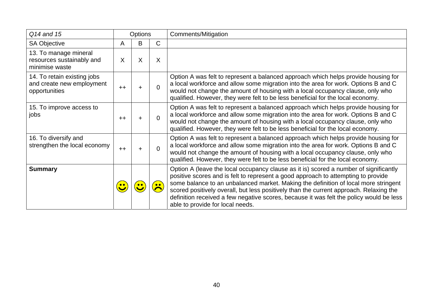| Q14 and 15                                                                | Options |           |              | Comments/Mitigation                                                                                                                                                                                                                                                                                                                                                                                                                                                                        |
|---------------------------------------------------------------------------|---------|-----------|--------------|--------------------------------------------------------------------------------------------------------------------------------------------------------------------------------------------------------------------------------------------------------------------------------------------------------------------------------------------------------------------------------------------------------------------------------------------------------------------------------------------|
| <b>SA Objective</b>                                                       | A       | B         | $\mathsf{C}$ |                                                                                                                                                                                                                                                                                                                                                                                                                                                                                            |
| 13. To manage mineral<br>resources sustainably and<br>minimise waste      | X       | X         | $\sf X$      |                                                                                                                                                                                                                                                                                                                                                                                                                                                                                            |
| 14. To retain existing jobs<br>and create new employment<br>opportunities | $++$    | $\ddot{}$ | $\Omega$     | Option A was felt to represent a balanced approach which helps provide housing for<br>a local workforce and allow some migration into the area for work. Options B and C<br>would not change the amount of housing with a local occupancy clause, only who<br>qualified. However, they were felt to be less beneficial for the local economy.                                                                                                                                              |
| 15. To improve access to<br>jobs                                          | $++$    | ÷         | $\Omega$     | Option A was felt to represent a balanced approach which helps provide housing for<br>a local workforce and allow some migration into the area for work. Options B and C<br>would not change the amount of housing with a local occupancy clause, only who<br>qualified. However, they were felt to be less beneficial for the local economy.                                                                                                                                              |
| 16. To diversify and<br>strengthen the local economy                      | $++$    | ÷         | $\Omega$     | Option A was felt to represent a balanced approach which helps provide housing for<br>a local workforce and allow some migration into the area for work. Options B and C<br>would not change the amount of housing with a local occupancy clause, only who<br>qualified. However, they were felt to be less beneficial for the local economy.                                                                                                                                              |
| <b>Summary</b>                                                            |         |           |              | Option A (leave the local occupancy clause as it is) scored a number of significantly<br>positive scores and is felt to represent a good approach to attempting to provide<br>some balance to an unbalanced market. Making the definition of local more stringent<br>scored positively overall, but less positively than the current approach. Relaxing the<br>definition received a few negative scores, because it was felt the policy would be less<br>able to provide for local needs. |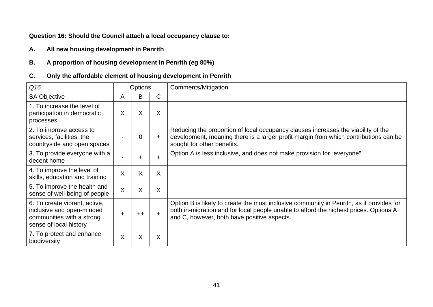## **Question 16: Should the Council attach a local occupancy clause to:**

**A. All new housing development in Penrith** 

## **B. A proportion of housing development in Penrith (eg 80%)**

## **C. Only the affordable element of housing development in Penrith**

| Q16                                                                                                               |                | <b>Options</b> |           | Comments/Mitigation                                                                                                                                                                                                              |
|-------------------------------------------------------------------------------------------------------------------|----------------|----------------|-----------|----------------------------------------------------------------------------------------------------------------------------------------------------------------------------------------------------------------------------------|
| <b>SA Objective</b>                                                                                               | A              | B              | C         |                                                                                                                                                                                                                                  |
| 1. To increase the level of<br>participation in democratic<br>processes                                           | X              | X              | X         |                                                                                                                                                                                                                                  |
| 2. To improve access to<br>services, facilities, the<br>countryside and open spaces                               |                | $\overline{0}$ | $+$       | Reducing the proportion of local occupancy clauses increases the viability of the<br>development, meaning there is a larger profit margin from which contributions can be<br>sought for other benefits.                          |
| 3. To provide everyone with a<br>decent home                                                                      |                | ÷              | ÷.        | Option A is less inclusive, and does not make provision for "everyone"                                                                                                                                                           |
| 4. To improve the level of<br>skills, education and training                                                      | X              | X              | X         |                                                                                                                                                                                                                                  |
| 5. To improve the health and<br>sense of well-being of people                                                     | $\overline{X}$ | X              | X         |                                                                                                                                                                                                                                  |
| 6. To create vibrant, active,<br>inclusive and open-minded<br>communities with a strong<br>sense of local history |                | $++$           | $\ddot{}$ | Option B is likely to create the most inclusive community in Penrith, as it provides for<br>both in-migration and for local people unable to afford the highest prices. Options A<br>and C, however, both have positive aspects. |
| 7. To protect and enhance<br>biodiversity                                                                         | X              | X              | X         |                                                                                                                                                                                                                                  |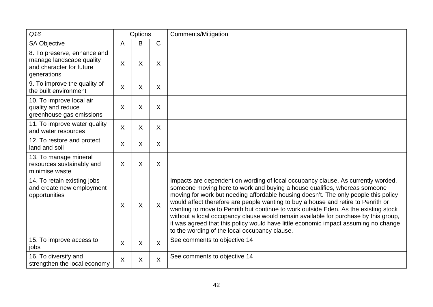| Q16                                                                                                |         | Options                 |              | <b>Comments/Mitigation</b>                                                                                                                                                                                                                                                                                                                                                                                                                                                                                                                                                                                                                                      |
|----------------------------------------------------------------------------------------------------|---------|-------------------------|--------------|-----------------------------------------------------------------------------------------------------------------------------------------------------------------------------------------------------------------------------------------------------------------------------------------------------------------------------------------------------------------------------------------------------------------------------------------------------------------------------------------------------------------------------------------------------------------------------------------------------------------------------------------------------------------|
| <b>SA Objective</b>                                                                                | A       | B                       | $\mathsf{C}$ |                                                                                                                                                                                                                                                                                                                                                                                                                                                                                                                                                                                                                                                                 |
| 8. To preserve, enhance and<br>manage landscape quality<br>and character for future<br>generations | X       | $\sf X$                 | X            |                                                                                                                                                                                                                                                                                                                                                                                                                                                                                                                                                                                                                                                                 |
| 9. To improve the quality of<br>the built environment                                              | X       | X                       | X            |                                                                                                                                                                                                                                                                                                                                                                                                                                                                                                                                                                                                                                                                 |
| 10. To improve local air<br>quality and reduce<br>greenhouse gas emissions                         | X       | X                       | X            |                                                                                                                                                                                                                                                                                                                                                                                                                                                                                                                                                                                                                                                                 |
| 11. To improve water quality<br>and water resources                                                | X       | X                       | X            |                                                                                                                                                                                                                                                                                                                                                                                                                                                                                                                                                                                                                                                                 |
| 12. To restore and protect<br>land and soil                                                        | X       | X                       | $\sf X$      |                                                                                                                                                                                                                                                                                                                                                                                                                                                                                                                                                                                                                                                                 |
| 13. To manage mineral<br>resources sustainably and<br>minimise waste                               | X       | X                       | X            |                                                                                                                                                                                                                                                                                                                                                                                                                                                                                                                                                                                                                                                                 |
| 14. To retain existing jobs<br>and create new employment<br>opportunities                          | X       | $\overline{\mathsf{X}}$ | $\sf X$      | Impacts are dependent on wording of local occupancy clause. As currently worded,<br>someone moving here to work and buying a house qualifies, whereas someone<br>moving for work but needing affordable housing doesn't. The only people this policy<br>would affect therefore are people wanting to buy a house and retire to Penrith or<br>wanting to move to Penrith but continue to work outside Eden. As the existing stock<br>without a local occupancy clause would remain available for purchase by this group,<br>it was agreed that this policy would have little economic impact assuming no change<br>to the wording of the local occupancy clause. |
| 15. To improve access to<br>jobs                                                                   | $\sf X$ | $\sf X$                 | $\sf X$      | See comments to objective 14                                                                                                                                                                                                                                                                                                                                                                                                                                                                                                                                                                                                                                    |
| 16. To diversify and<br>strengthen the local economy                                               | X       | X                       | $\sf X$      | See comments to objective 14                                                                                                                                                                                                                                                                                                                                                                                                                                                                                                                                                                                                                                    |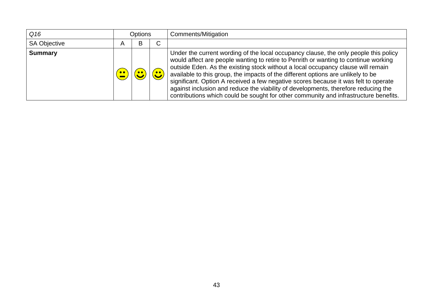| Q16                 |           | Options |             | Comments/Mitigation                                                                                                                                                                                                                                                                                                                                                                                                                                                                                                                                                                                                      |
|---------------------|-----------|---------|-------------|--------------------------------------------------------------------------------------------------------------------------------------------------------------------------------------------------------------------------------------------------------------------------------------------------------------------------------------------------------------------------------------------------------------------------------------------------------------------------------------------------------------------------------------------------------------------------------------------------------------------------|
| <b>SA Objective</b> |           | B       | $\sim$<br>U |                                                                                                                                                                                                                                                                                                                                                                                                                                                                                                                                                                                                                          |
| <b>Summary</b>      | $\bullet$ |         |             | Under the current wording of the local occupancy clause, the only people this policy<br>would affect are people wanting to retire to Penrith or wanting to continue working<br>outside Eden. As the existing stock without a local occupancy clause will remain<br>available to this group, the impacts of the different options are unlikely to be<br>significant. Option A received a few negative scores because it was felt to operate<br>against inclusion and reduce the viability of developments, therefore reducing the<br>contributions which could be sought for other community and infrastructure benefits. |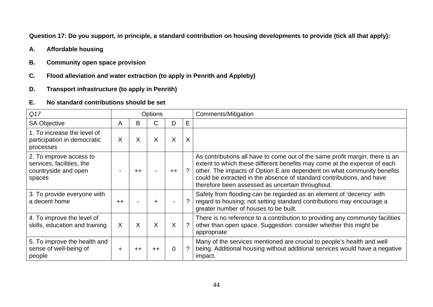**Question 17: Do you support, in principle, a standard contribution on housing developments to provide (tick all that apply):** 

- **A. Affordable housing**
- **B. Community open space provision**
- **C. Flood alleviation and water extraction (to apply in Penrith and Appleby)**
- **D. Transport infrastructure (to apply in Penrith)**

#### **E. No standard contributions should be set**

| Q17                                                                                    |           |      | Options |         |          | Comments/Mitigation                                                                                                                                                                                                                                                                                                                                              |
|----------------------------------------------------------------------------------------|-----------|------|---------|---------|----------|------------------------------------------------------------------------------------------------------------------------------------------------------------------------------------------------------------------------------------------------------------------------------------------------------------------------------------------------------------------|
| <b>SA Objective</b>                                                                    | Α         | В    | С       | D.      | Е        |                                                                                                                                                                                                                                                                                                                                                                  |
| 1. To increase the level of<br>participation in democratic<br>processes                | X         | X    | X       | X       | X        |                                                                                                                                                                                                                                                                                                                                                                  |
| 2. To improve access to<br>services, facilities, the<br>countryside and open<br>spaces |           | $++$ |         | $++$    |          | As contributions all have to come out of the same profit margin, there is an<br>extent to which these different benefits may come at the expense of each<br>other. The impacts of Option E are dependent on what community benefits<br>could be extracted in the absence of standard contributions, and have<br>therefore been assessed as uncertain throughout. |
| 3. To provide everyone with<br>a decent home                                           | $++$      |      | ÷       |         |          | Safety from flooding can be regarded as an element of 'decency' with<br>regard to housing; not setting standard contributions may encourage a<br>greater number of houses to be built.                                                                                                                                                                           |
| 4. To improve the level of<br>skills, education and training                           | $\sf X$   | X    | Χ       | $\sf X$ | $\gamma$ | There is no reference to a contribution to providing any community facilities<br>other than open space. Suggestion: consider whether this might be<br>appropriate                                                                                                                                                                                                |
| 5. To improve the health and<br>sense of well-being of<br>people                       | $\ddot{}$ | $++$ | $++$    | 0       |          | Many of the services mentioned are crucial to people's health and well<br>being. Additional housing without additional services would have a negative<br>impact.                                                                                                                                                                                                 |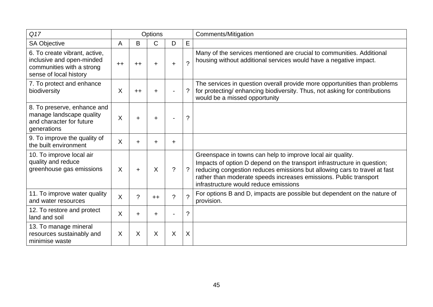| Q17                                                                                                               |      |           | Options   |                |                    | Comments/Mitigation                                                                                                                                                                                                                                                                                                              |
|-------------------------------------------------------------------------------------------------------------------|------|-----------|-----------|----------------|--------------------|----------------------------------------------------------------------------------------------------------------------------------------------------------------------------------------------------------------------------------------------------------------------------------------------------------------------------------|
| <b>SA Objective</b>                                                                                               | Α    | B         | C         | D              | Е                  |                                                                                                                                                                                                                                                                                                                                  |
| 6. To create vibrant, active,<br>inclusive and open-minded<br>communities with a strong<br>sense of local history | $++$ | $++$      | $\ddot{}$ | $\ddot{}$      | $\mathcal{P}$      | Many of the services mentioned are crucial to communities. Additional<br>housing without additional services would have a negative impact.                                                                                                                                                                                       |
| 7. To protect and enhance<br>biodiversity                                                                         | X    | $++$      | $\ddot{}$ |                | $\tilde{?}$        | The services in question overall provide more opportunities than problems<br>for protecting/enhancing biodiversity. Thus, not asking for contributions<br>would be a missed opportunity                                                                                                                                          |
| 8. To preserve, enhance and<br>manage landscape quality<br>and character for future<br>generations                | X    | $\ddot{}$ | $\ddot{}$ |                | $\tilde{?}$        |                                                                                                                                                                                                                                                                                                                                  |
| 9. To improve the quality of<br>the built environment                                                             | X    | $\pm$     | $\ddot{}$ | $\ddot{}$      |                    |                                                                                                                                                                                                                                                                                                                                  |
| 10. To improve local air<br>quality and reduce<br>greenhouse gas emissions                                        | X    | $\ddot{}$ | X         | $\overline{?}$ | $\overline{?}$     | Greenspace in towns can help to improve local air quality.<br>Impacts of option D depend on the transport infrastructure in question;<br>reducing congestion reduces emissions but allowing cars to travel at fast<br>rather than moderate speeds increases emissions. Public transport<br>infrastructure would reduce emissions |
| 11. To improve water quality<br>and water resources                                                               | X    | $\gamma$  | $++$      | $\gamma$       | $\gamma$           | For options B and D, impacts are possible but dependent on the nature of<br>provision.                                                                                                                                                                                                                                           |
| 12. To restore and protect<br>land and soil                                                                       | X    | $\ddot{}$ | $\ddot{}$ |                | $\overline{\cdot}$ |                                                                                                                                                                                                                                                                                                                                  |
| 13. To manage mineral<br>resources sustainably and<br>minimise waste                                              | X    | X         | X         | X              | X                  |                                                                                                                                                                                                                                                                                                                                  |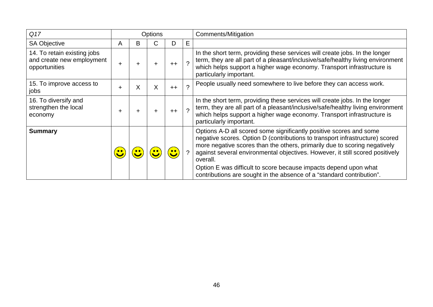| Q17                                                                       |   |   | <b>Options</b> |      |    | Comments/Mitigation                                                                                                                                                                                                                                                                                                                                                                                                                                                       |
|---------------------------------------------------------------------------|---|---|----------------|------|----|---------------------------------------------------------------------------------------------------------------------------------------------------------------------------------------------------------------------------------------------------------------------------------------------------------------------------------------------------------------------------------------------------------------------------------------------------------------------------|
| <b>SA Objective</b>                                                       | A | В | С              | D    | E. |                                                                                                                                                                                                                                                                                                                                                                                                                                                                           |
| 14. To retain existing jobs<br>and create new employment<br>opportunities | ÷ |   | ┿              | $++$ |    | In the short term, providing these services will create jobs. In the longer<br>term, they are all part of a pleasant/inclusive/safe/healthy living environment<br>which helps support a higher wage economy. Transport infrastructure is<br>particularly important.                                                                                                                                                                                                       |
| 15. To improve access to<br>jobs                                          | ÷ | X | X              | $++$ |    | People usually need somewhere to live before they can access work.                                                                                                                                                                                                                                                                                                                                                                                                        |
| 16. To diversify and<br>strengthen the local<br>economy                   | ÷ |   | ÷              | $++$ |    | In the short term, providing these services will create jobs. In the longer<br>term, they are all part of a pleasant/inclusive/safe/healthy living environment<br>which helps support a higher wage economy. Transport infrastructure is<br>particularly important.                                                                                                                                                                                                       |
| <b>Summary</b>                                                            |   |   |                |      |    | Options A-D all scored some significantly positive scores and some<br>negative scores. Option D (contributions to transport infrastructure) scored<br>more negative scores than the others, primarily due to scoring negatively<br>against several environmental objectives. However, it still scored positively<br>overall.<br>Option E was difficult to score because impacts depend upon what<br>contributions are sought in the absence of a "standard contribution". |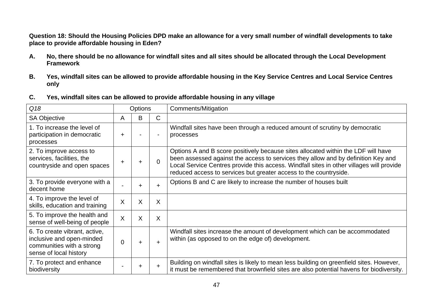**Question 18: Should the Housing Policies DPD make an allowance for a very small number of windfall developments to take place to provide affordable housing in Eden?** 

- **A. No, there should be no allowance for windfall sites and all sites should be allocated through the Local Development Framework**
- **B. Yes, windfall sites can be allowed to provide affordable housing in the Key Service Centres and Local Service Centres only**
- **C. Yes, windfall sites can be allowed to provide affordable housing in any village**

| Q18                                                                                                               | Options      |           |          | Comments/Mitigation                                                                                                                                                                                                                                                                                                                     |
|-------------------------------------------------------------------------------------------------------------------|--------------|-----------|----------|-----------------------------------------------------------------------------------------------------------------------------------------------------------------------------------------------------------------------------------------------------------------------------------------------------------------------------------------|
| <b>SA Objective</b>                                                                                               | A            | B         | C.       |                                                                                                                                                                                                                                                                                                                                         |
| 1. To increase the level of<br>participation in democratic<br>processes                                           | ÷.           |           |          | Windfall sites have been through a reduced amount of scrutiny by democratic<br>processes                                                                                                                                                                                                                                                |
| 2. To improve access to<br>services, facilities, the<br>countryside and open spaces                               | ÷.           | $\ddot{}$ | $\Omega$ | Options A and B score positively because sites allocated within the LDF will have<br>been assessed against the access to services they allow and by definition Key and<br>Local Service Centres provide this access. Windfall sites in other villages will provide<br>reduced access to services but greater access to the countryside. |
| 3. To provide everyone with a<br>decent home                                                                      |              | ÷         | $+$      | Options B and C are likely to increase the number of houses built                                                                                                                                                                                                                                                                       |
| 4. To improve the level of<br>skills, education and training                                                      | X            | X         | X        |                                                                                                                                                                                                                                                                                                                                         |
| 5. To improve the health and<br>sense of well-being of people                                                     | $\mathsf{X}$ | X         | X        |                                                                                                                                                                                                                                                                                                                                         |
| 6. To create vibrant, active,<br>inclusive and open-minded<br>communities with a strong<br>sense of local history | 0            | $\ddot{}$ | $\pm$    | Windfall sites increase the amount of development which can be accommodated<br>within (as opposed to on the edge of) development.                                                                                                                                                                                                       |
| 7. To protect and enhance<br>biodiversity                                                                         |              | ÷         | $+$      | Building on windfall sites is likely to mean less building on greenfield sites. However,<br>it must be remembered that brownfield sites are also potential havens for biodiversity.                                                                                                                                                     |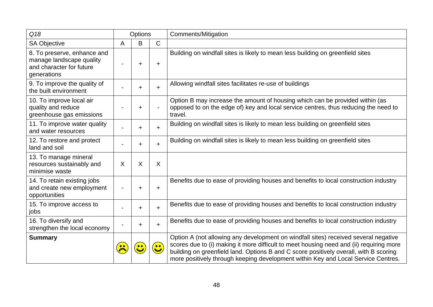| Q18                                                                                                |   | Options   |                          | Comments/Mitigation                                                                                                                                                                                                                                                                                                                                          |
|----------------------------------------------------------------------------------------------------|---|-----------|--------------------------|--------------------------------------------------------------------------------------------------------------------------------------------------------------------------------------------------------------------------------------------------------------------------------------------------------------------------------------------------------------|
| <b>SA Objective</b>                                                                                | A | B         | $\mathsf C$              |                                                                                                                                                                                                                                                                                                                                                              |
| 8. To preserve, enhance and<br>manage landscape quality<br>and character for future<br>generations |   | $\ddot{}$ | $\ddot{}$                | Building on windfall sites is likely to mean less building on greenfield sites                                                                                                                                                                                                                                                                               |
| 9. To improve the quality of<br>the built environment                                              |   | $\ddot{}$ | $+$                      | Allowing windfall sites facilitates re-use of buildings                                                                                                                                                                                                                                                                                                      |
| 10. To improve local air<br>quality and reduce<br>greenhouse gas emissions                         |   | ÷         | $\overline{\phantom{0}}$ | Option B may increase the amount of housing which can be provided within (as<br>opposed to on the edge of) key and local service centres, thus reducing the need to<br>travel.                                                                                                                                                                               |
| 11. To improve water quality<br>and water resources                                                |   | $\ddot{}$ | $+$                      | Building on windfall sites is likely to mean less building on greenfield sites                                                                                                                                                                                                                                                                               |
| 12. To restore and protect<br>land and soil                                                        |   | $\ddot{}$ | $+$                      | Building on windfall sites is likely to mean less building on greenfield sites                                                                                                                                                                                                                                                                               |
| 13. To manage mineral<br>resources sustainably and<br>minimise waste                               | X | X         | X                        |                                                                                                                                                                                                                                                                                                                                                              |
| 14. To retain existing jobs<br>and create new employment<br>opportunities                          |   | ÷         | $\ddot{}$                | Benefits due to ease of providing houses and benefits to local construction industry                                                                                                                                                                                                                                                                         |
| 15. To improve access to<br>jobs                                                                   |   | $\ddot{}$ | $+$                      | Benefits due to ease of providing houses and benefits to local construction industry                                                                                                                                                                                                                                                                         |
| 16. To diversify and<br>strengthen the local economy                                               |   | $\ddot{}$ | $\ddot{}$                | Benefits due to ease of providing houses and benefits to local construction industry                                                                                                                                                                                                                                                                         |
| <b>Summary</b>                                                                                     |   | $\bullet$ | $\bullet\bullet$         | Option A (not allowing any development on windfall sites) received several negative<br>scores due to (i) making it more difficult to meet housing need and (ii) requiring more<br>building on greenfield land. Options B and C score positively overall, with B scoring<br>more positively through keeping development within Key and Local Service Centres. |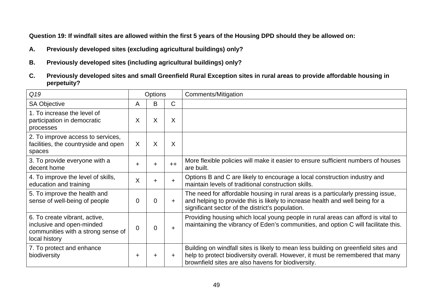**Question 19: If windfall sites are allowed within the first 5 years of the Housing DPD should they be allowed on:** 

- **A. Previously developed sites (excluding agricultural buildings) only?**
- **B. Previously developed sites (including agricultural buildings) only?**
- **C. Previously developed sites and small Greenfield Rural Exception sites in rural areas to provide affordable housing in perpetuity?**

| Q19                                                                                                               | <b>Options</b> |           |              | Comments/Mitigation                                                                                                                                                                                                        |
|-------------------------------------------------------------------------------------------------------------------|----------------|-----------|--------------|----------------------------------------------------------------------------------------------------------------------------------------------------------------------------------------------------------------------------|
| <b>SA Objective</b>                                                                                               | A              | B         | $\mathsf{C}$ |                                                                                                                                                                                                                            |
| 1. To increase the level of<br>participation in democratic<br>processes                                           | X              | X         | X            |                                                                                                                                                                                                                            |
| 2. To improve access to services,<br>facilities, the countryside and open<br>spaces                               | X              | X         | X            |                                                                                                                                                                                                                            |
| 3. To provide everyone with a<br>decent home                                                                      | +              | ٠         | $++$         | More flexible policies will make it easier to ensure sufficient numbers of houses<br>are built.                                                                                                                            |
| 4. To improve the level of skills,<br>education and training                                                      | X              | $\ddot{}$ | $+$          | Options B and C are likely to encourage a local construction industry and<br>maintain levels of traditional construction skills.                                                                                           |
| 5. To improve the health and<br>sense of well-being of people                                                     | $\Omega$       | 0         | $+$          | The need for affordable housing in rural areas is a particularly pressing issue,<br>and helping to provide this is likely to increase health and well being for a<br>significant sector of the district's population.      |
| 6. To create vibrant, active,<br>inclusive and open-minded<br>communities with a strong sense of<br>local history | 0              | 0         | $+$          | Providing housing which local young people in rural areas can afford is vital to<br>maintaining the vibrancy of Eden's communities, and option C will facilitate this.                                                     |
| 7. To protect and enhance<br>biodiversity                                                                         | ÷              | ٠         | $\pm$        | Building on windfall sites is likely to mean less building on greenfield sites and<br>help to protect biodiversity overall. However, it must be remembered that many<br>brownfield sites are also havens for biodiversity. |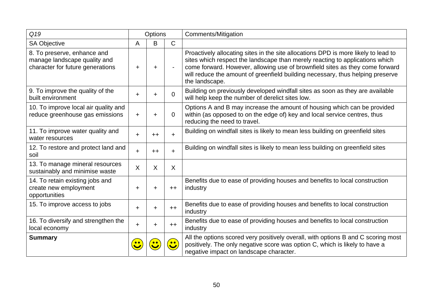| Q19                                                                                             |       | <b>Options</b> |              | Comments/Mitigation                                                                                                                                                                                                                                                                                                                                    |
|-------------------------------------------------------------------------------------------------|-------|----------------|--------------|--------------------------------------------------------------------------------------------------------------------------------------------------------------------------------------------------------------------------------------------------------------------------------------------------------------------------------------------------------|
| <b>SA Objective</b>                                                                             | A     | B              | $\mathsf{C}$ |                                                                                                                                                                                                                                                                                                                                                        |
| 8. To preserve, enhance and<br>manage landscape quality and<br>character for future generations | +     | $\ddot{}$      |              | Proactively allocating sites in the site allocations DPD is more likely to lead to<br>sites which respect the landscape than merely reacting to applications which<br>come forward. However, allowing use of brownfield sites as they come forward<br>will reduce the amount of greenfield building necessary, thus helping preserve<br>the landscape. |
| 9. To improve the quality of the<br>built environment                                           | $\pm$ | $\pm$          | $\Omega$     | Building on previously developed windfall sites as soon as they are available<br>will help keep the number of derelict sites low.                                                                                                                                                                                                                      |
| 10. To improve local air quality and<br>reduce greenhouse gas emissions                         | $\pm$ | +              | 0            | Options A and B may increase the amount of housing which can be provided<br>within (as opposed to on the edge of) key and local service centres, thus<br>reducing the need to travel.                                                                                                                                                                  |
| 11. To improve water quality and<br>water resources                                             | +     | $++$           | $+$          | Building on windfall sites is likely to mean less building on greenfield sites                                                                                                                                                                                                                                                                         |
| 12. To restore and protect land and<br>soil                                                     | $\pm$ | $++$           | $\pm$        | Building on windfall sites is likely to mean less building on greenfield sites                                                                                                                                                                                                                                                                         |
| 13. To manage mineral resources<br>sustainably and minimise waste                               | X     | X              | X            |                                                                                                                                                                                                                                                                                                                                                        |
| 14. To retain existing jobs and<br>create new employment<br>opportunities                       | +     | +              | $++$         | Benefits due to ease of providing houses and benefits to local construction<br>industry                                                                                                                                                                                                                                                                |
| 15. To improve access to jobs                                                                   | $\pm$ | $\pm$          | $++$         | Benefits due to ease of providing houses and benefits to local construction<br>industry                                                                                                                                                                                                                                                                |
| 16. To diversify and strengthen the<br>local economy                                            | $\pm$ | +              | $++$         | Benefits due to ease of providing houses and benefits to local construction<br>industry                                                                                                                                                                                                                                                                |
| <b>Summary</b>                                                                                  |       |                | $\bullet$    | All the options scored very positively overall, with options B and C scoring most<br>positively. The only negative score was option C, which is likely to have a<br>negative impact on landscape character.                                                                                                                                            |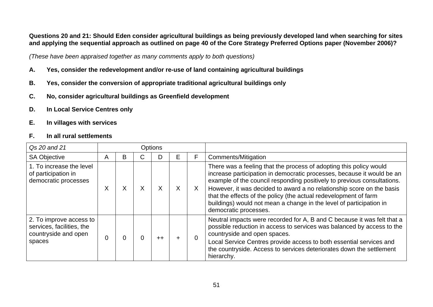#### **Questions 20 and 21: Should Eden consider agricultural buildings as being previously developed land when searching for sites and applying the sequential approach as outlined on page 40 of the Core Strategy Preferred Options paper (November 2006)?**

*(These have been appraised together as many comments apply to both questions)* 

- **A. Yes, consider the redevelopment and/or re-use of land containing agricultural buildings**
- **B. Yes, consider the conversion of appropriate traditional agricultural buildings only**
- **C. No, consider agricultural buildings as Greenfield development**
- **D. In Local Service Centres only**
- **E. In villages with services**

#### **F. In all rural settlements**

| Qs 20 and 21                                                                           |   |   |   | <b>Options</b> |    |          |                                                                                                                                                                                                                                                                                                                                                                                                                                                                      |
|----------------------------------------------------------------------------------------|---|---|---|----------------|----|----------|----------------------------------------------------------------------------------------------------------------------------------------------------------------------------------------------------------------------------------------------------------------------------------------------------------------------------------------------------------------------------------------------------------------------------------------------------------------------|
| <b>SA Objective</b>                                                                    | A | B | ◡ | D              | E. | F        | <b>Comments/Mitigation</b>                                                                                                                                                                                                                                                                                                                                                                                                                                           |
| 1. To increase the level<br>of participation in<br>democratic processes                | X | X | X | X              |    | X        | There was a feeling that the process of adopting this policy would<br>increase participation in democratic processes, because it would be an<br>example of the council responding positively to previous consultations.<br>However, it was decided to award a no relationship score on the basis<br>that the effects of the policy (the actual redevelopment of farm<br>buildings) would not mean a change in the level of participation in<br>democratic processes. |
| 2. To improve access to<br>services, facilities, the<br>countryside and open<br>spaces |   |   |   | $++$           |    | $\Omega$ | Neutral impacts were recorded for A, B and C because it was felt that a<br>possible reduction in access to services was balanced by access to the<br>countryside and open spaces.<br>Local Service Centres provide access to both essential services and<br>the countryside. Access to services deteriorates down the settlement<br>hierarchy.                                                                                                                       |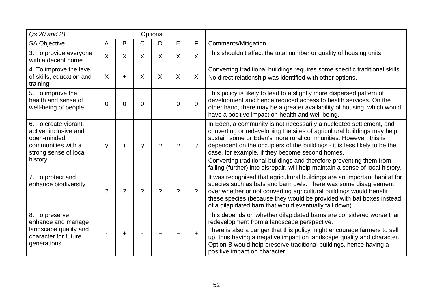| Qs 20 and 21                                                                                                            |   |           |          | Options     |              |              |                                                                                                                                                                                                                                                                                                                                                                                                                                                                                                            |
|-------------------------------------------------------------------------------------------------------------------------|---|-----------|----------|-------------|--------------|--------------|------------------------------------------------------------------------------------------------------------------------------------------------------------------------------------------------------------------------------------------------------------------------------------------------------------------------------------------------------------------------------------------------------------------------------------------------------------------------------------------------------------|
| <b>SA Objective</b>                                                                                                     | A | B         | C        | D           | E            | F            | Comments/Mitigation                                                                                                                                                                                                                                                                                                                                                                                                                                                                                        |
| 3. To provide everyone<br>with a decent home                                                                            | X | X         | $\sf X$  | $\sf X$     | $\mathsf{X}$ | $\mathsf{X}$ | This shouldn't affect the total number or quality of housing units.                                                                                                                                                                                                                                                                                                                                                                                                                                        |
| 4. To improve the level<br>of skills, education and<br>training                                                         | X | $\ddot{}$ | X        | X           | X            | X            | Converting traditional buildings requires some specific traditional skills.<br>No direct relationship was identified with other options.                                                                                                                                                                                                                                                                                                                                                                   |
| 5. To improve the<br>health and sense of<br>well-being of people                                                        | 0 | 0         | 0        | $\ddot{}$   | 0            | $\Omega$     | This policy is likely to lead to a slightly more dispersed pattern of<br>development and hence reduced access to health services. On the<br>other hand, there may be a greater availability of housing, which would<br>have a positive impact on health and well being.                                                                                                                                                                                                                                    |
| 6. To create vibrant,<br>active, inclusive and<br>open-minded<br>communities with a<br>strong sense of local<br>history | ? | $\ddot{}$ | $\gamma$ | $\tilde{?}$ | $\gamma$     | $\gamma$     | In Eden, a community is not necessarily a nucleated settlement, and<br>converting or redeveloping the sites of agricultural buildings may help<br>sustain some or Eden's more rural communities. However, this is<br>dependent on the occupiers of the buildings - it is less likely to be the<br>case, for example, if they become second homes.<br>Converting traditional buildings and therefore preventing them from<br>falling (further) into disrepair, will help maintain a sense of local history. |
| 7. To protect and<br>enhance biodiversity                                                                               | 2 | ?         | 2        | $\gamma$    | ?            | $\gamma$     | It was recognised that agricultural buildings are an important habitat for<br>species such as bats and barn owls. There was some disagreement<br>over whether or not converting agricultural buildings would benefit<br>these species (because they would be provided with bat boxes instead<br>of a dilapidated barn that would eventually fall down).                                                                                                                                                    |
| 8. To preserve,<br>enhance and manage<br>landscape quality and<br>character for future<br>generations                   |   | ٠         |          | +           |              | $\ddot{}$    | This depends on whether dilapidated barns are considered worse than<br>redevelopment from a landscape perspective.<br>There is also a danger that this policy might encourage farmers to sell<br>up, thus having a negative impact on landscape quality and character.<br>Option B would help preserve traditional buildings, hence having a<br>positive impact on character.                                                                                                                              |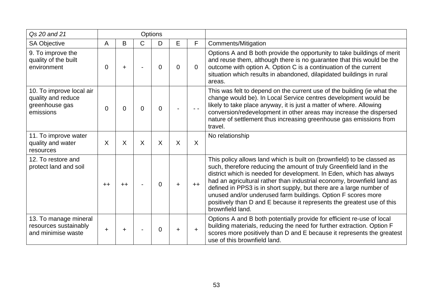| Qs 20 and 21                                                                  |      |                 |              | Options  |    |                |                                                                                                                                                                                                                                                                                                                                                                                                                                                                                                                                      |
|-------------------------------------------------------------------------------|------|-----------------|--------------|----------|----|----------------|--------------------------------------------------------------------------------------------------------------------------------------------------------------------------------------------------------------------------------------------------------------------------------------------------------------------------------------------------------------------------------------------------------------------------------------------------------------------------------------------------------------------------------------|
| <b>SA Objective</b>                                                           | A    | B               | $\mathsf{C}$ | D        | E. | F              | Comments/Mitigation                                                                                                                                                                                                                                                                                                                                                                                                                                                                                                                  |
| 9. To improve the<br>quality of the built<br>environment                      | 0    | +               |              | 0        | 0  | $\overline{0}$ | Options A and B both provide the opportunity to take buildings of merit<br>and reuse them, although there is no guarantee that this would be the<br>outcome with option A. Option C is a continuation of the current<br>situation which results in abandoned, dilapidated buildings in rural<br>areas.                                                                                                                                                                                                                               |
| 10. To improve local air<br>quality and reduce<br>greenhouse gas<br>emissions | 0    | 0               | $\Omega$     | $\Omega$ |    |                | This was felt to depend on the current use of the building (ie what the<br>change would be). In Local Service centres development would be<br>likely to take place anyway, it is just a matter of where. Allowing<br>conversion/redevelopment in other areas may increase the dispersed<br>nature of settlement thus increasing greenhouse gas emissions from<br>travel.                                                                                                                                                             |
| 11. To improve water<br>quality and water<br>resources                        | X    | X               | $\sf X$      | X        | X  | X              | No relationship                                                                                                                                                                                                                                                                                                                                                                                                                                                                                                                      |
| 12. To restore and<br>protect land and soil                                   | $++$ | $^{\mathrm{+}}$ |              | $\Omega$ |    | $++$           | This policy allows land which is built on (brownfield) to be classed as<br>such, therefore reducing the amount of truly Greenfield land in the<br>district which is needed for development. In Eden, which has always<br>had an agricultural rather than industrial economy, brownfield land as<br>defined in PPS3 is in short supply, but there are a large number of<br>unused and/or underused farm buildings. Option F scores more<br>positively than D and E because it represents the greatest use of this<br>brownfield land. |
| 13. To manage mineral<br>resources sustainably<br>and minimise waste          |      |                 |              | 0        |    | $\pm$          | Options A and B both potentially provide for efficient re-use of local<br>building materials, reducing the need for further extraction. Option F<br>scores more positively than D and E because it represents the greatest<br>use of this brownfield land.                                                                                                                                                                                                                                                                           |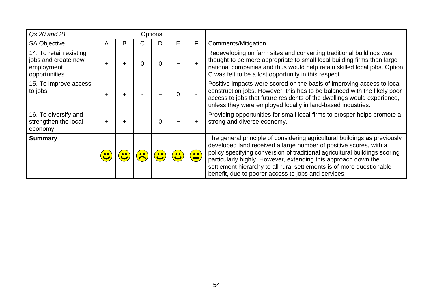| Qs 20 and 21                                                                 |   |   |   | <b>Options</b> |   |                   |                                                                                                                                                                                                                                                                                                                                                                                                                                |
|------------------------------------------------------------------------------|---|---|---|----------------|---|-------------------|--------------------------------------------------------------------------------------------------------------------------------------------------------------------------------------------------------------------------------------------------------------------------------------------------------------------------------------------------------------------------------------------------------------------------------|
| <b>SA Objective</b>                                                          | A | B | U |                | E | F                 | Comments/Mitigation                                                                                                                                                                                                                                                                                                                                                                                                            |
| 14. To retain existing<br>jobs and create new<br>employment<br>opportunities |   |   |   | 0              |   |                   | Redeveloping on farm sites and converting traditional buildings was<br>thought to be more appropriate to small local building firms than large<br>national companies and thus would help retain skilled local jobs. Option<br>C was felt to be a lost opportunity in this respect.                                                                                                                                             |
| 15. To improve access<br>to jobs                                             |   |   |   | +              |   |                   | Positive impacts were scored on the basis of improving access to local<br>construction jobs. However, this has to be balanced with the likely poor<br>access to jobs that future residents of the dwellings would experience,<br>unless they were employed locally in land-based industries.                                                                                                                                   |
| 16. To diversify and<br>strengthen the local<br>economy                      |   |   |   | 0              |   | ÷                 | Providing opportunities for small local firms to prosper helps promote a<br>strong and diverse economy.                                                                                                                                                                                                                                                                                                                        |
| <b>Summary</b>                                                               |   |   |   |                |   | $\bullet \bullet$ | The general principle of considering agricultural buildings as previously<br>developed land received a large number of positive scores, with a<br>policy specifying conversion of traditional agricultural buildings scoring<br>particularly highly. However, extending this approach down the<br>settlement hierarchy to all rural settlements is of more questionable<br>benefit, due to poorer access to jobs and services. |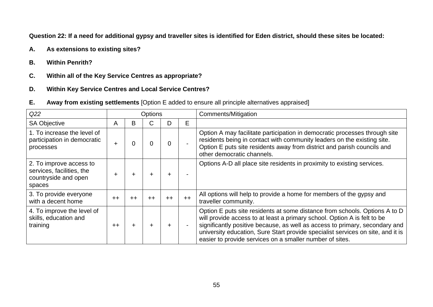**Question 22: If a need for additional gypsy and traveller sites is identified for Eden district, should these sites be located:**

- **A. As extensions to existing sites?**
- **B. Within Penrith?**
- **C. Within all of the Key Service Centres as appropriate?**
- **D. Within Key Service Centres and Local Service Centres?**
- **E. Away from existing settlements** [Option E added to ensure all principle alternatives appraised]

| Q22                                                                                    |        |      | Options        |       |                | Comments/Mitigation                                                                                                                                                                                                                                                                                                                                                                  |
|----------------------------------------------------------------------------------------|--------|------|----------------|-------|----------------|--------------------------------------------------------------------------------------------------------------------------------------------------------------------------------------------------------------------------------------------------------------------------------------------------------------------------------------------------------------------------------------|
| <b>SA Objective</b>                                                                    | A      | B    | С              | D     | E              |                                                                                                                                                                                                                                                                                                                                                                                      |
| 1. To increase the level of<br>participation in democratic<br>processes                | ÷      |      | $\overline{0}$ | 0     |                | Option A may facilitate participation in democratic processes through site<br>residents being in contact with community leaders on the existing site.<br>Option E puts site residents away from district and parish councils and<br>other democratic channels.                                                                                                                       |
| 2. To improve access to<br>services, facilities, the<br>countryside and open<br>spaces | $\div$ |      | $\div$         | ٠     |                | Options A-D all place site residents in proximity to existing services.                                                                                                                                                                                                                                                                                                              |
| 3. To provide everyone<br>with a decent home                                           | $++$   | $++$ | $++$           | $++$  | $++$           | All options will help to provide a home for members of the gypsy and<br>traveller community.                                                                                                                                                                                                                                                                                         |
| 4. To improve the level of<br>skills, education and<br>training                        | $++$   |      | $\div$         | $\pm$ | $\blacksquare$ | Option E puts site residents at some distance from schools. Options A to D<br>will provide access to at least a primary school. Option A is felt to be<br>significantly positive because, as well as access to primary, secondary and<br>university education, Sure Start provide specialist services on site, and it is<br>easier to provide services on a smaller number of sites. |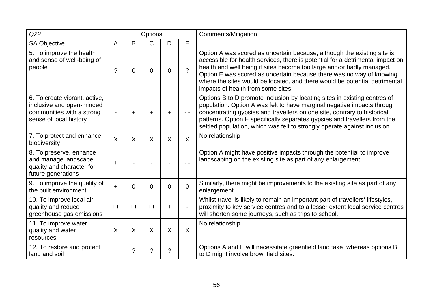| Q22                                                                                                               |           |      | Options        |                |               | <b>Comments/Mitigation</b>                                                                                                                                                                                                                                                                                                                                                                                                     |
|-------------------------------------------------------------------------------------------------------------------|-----------|------|----------------|----------------|---------------|--------------------------------------------------------------------------------------------------------------------------------------------------------------------------------------------------------------------------------------------------------------------------------------------------------------------------------------------------------------------------------------------------------------------------------|
| <b>SA Objective</b>                                                                                               | A         | B    | C              | D              | E             |                                                                                                                                                                                                                                                                                                                                                                                                                                |
| 5. To improve the health<br>and sense of well-being of<br>people                                                  | ?         | 0    | $\overline{0}$ | $\mathbf 0$    | $\mathcal{P}$ | Option A was scored as uncertain because, although the existing site is<br>accessible for health services, there is potential for a detrimental impact on<br>health and well being if sites become too large and/or badly managed.<br>Option E was scored as uncertain because there was no way of knowing<br>where the sites would be located, and there would be potential detrimental<br>impacts of health from some sites. |
| 6. To create vibrant, active,<br>inclusive and open-minded<br>communities with a strong<br>sense of local history |           | ÷    | $\ddot{}$      | $\pm$          | $ -$          | Options B to D promote inclusion by locating sites in existing centres of<br>population. Option A was felt to have marginal negative impacts through<br>concentrating gypsies and travellers on one site, contrary to historical<br>patterns. Option E specifically separates gypsies and travellers from the<br>settled population, which was felt to strongly operate against inclusion.                                     |
| 7. To protect and enhance<br>biodiversity                                                                         | $\sf X$   | X    | $\sf X$        | $\sf X$        | $\sf X$       | No relationship                                                                                                                                                                                                                                                                                                                                                                                                                |
| 8. To preserve, enhance<br>and manage landscape<br>quality and character for<br>future generations                | $\ddot{}$ |      |                |                |               | Option A might have positive impacts through the potential to improve<br>landscaping on the existing site as part of any enlargement                                                                                                                                                                                                                                                                                           |
| 9. To improve the quality of<br>the built environment                                                             | $\ddot{}$ | 0    | $\mathbf 0$    | 0              | $\Omega$      | Similarly, there might be improvements to the existing site as part of any<br>enlargement.                                                                                                                                                                                                                                                                                                                                     |
| 10. To improve local air<br>quality and reduce<br>greenhouse gas emissions                                        | $++$      | $++$ | $++$           | $\ddot{}$      |               | Whilst travel is likely to remain an important part of travellers' lifestyles,<br>proximity to key service centres and to a lesser extent local service centres<br>will shorten some journeys, such as trips to school.                                                                                                                                                                                                        |
| 11. To improve water<br>quality and water<br>resources                                                            | $\sf X$   | X    | $\sf X$        | $\sf X$        | $\sf X$       | No relationship                                                                                                                                                                                                                                                                                                                                                                                                                |
| 12. To restore and protect<br>land and soil                                                                       |           | ?    | ?              | $\overline{?}$ |               | Options A and E will necessitate greenfield land take, whereas options B<br>to D might involve brownfield sites.                                                                                                                                                                                                                                                                                                               |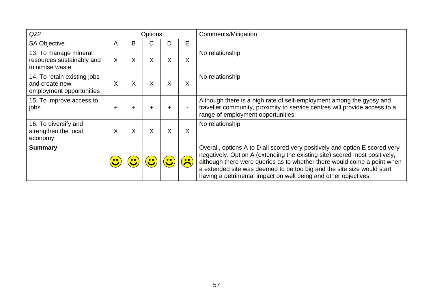| Q22                                                                       |   |   | <b>Options</b>   |   |                     | <b>Comments/Mitigation</b>                                                                                                                                                                                                                                                                                                                                                        |
|---------------------------------------------------------------------------|---|---|------------------|---|---------------------|-----------------------------------------------------------------------------------------------------------------------------------------------------------------------------------------------------------------------------------------------------------------------------------------------------------------------------------------------------------------------------------|
| <b>SA Objective</b>                                                       | A | B | C                | D | E                   |                                                                                                                                                                                                                                                                                                                                                                                   |
| 13. To manage mineral<br>resources sustainably and<br>minimise waste      | X | X | X                | X | X                   | No relationship                                                                                                                                                                                                                                                                                                                                                                   |
| 14. To retain existing jobs<br>and create new<br>employment opportunities | X | X | $\sf X$          | X | X                   | No relationship                                                                                                                                                                                                                                                                                                                                                                   |
| 15. To improve access to<br>jobs                                          | + |   |                  | ÷ |                     | Although there is a high rate of self-employment among the gypsy and<br>traveller community, proximity to service centres will provide access to a<br>range of employment opportunities.                                                                                                                                                                                          |
| 16. To diversify and<br>strengthen the local<br>economy                   | X | Χ | X                | X | X                   | No relationship                                                                                                                                                                                                                                                                                                                                                                   |
| <b>Summary</b>                                                            |   |   | $\bullet\bullet$ |   | $\bullet$ $\bullet$ | Overall, options A to D all scored very positively and option E scored very<br>negatively. Option A (extending the existing site) scored most positively,<br>although there were queries as to whether there would come a point when<br>a extended site was deemed to be too big and the site size would start<br>having a detrimental impact on well being and other objectives. |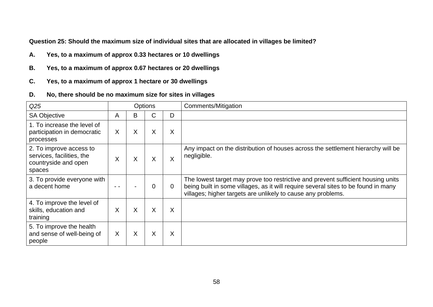**Question 25: Should the maximum size of individual sites that are allocated in villages be limited?** 

- **A. Yes, to a maximum of approx 0.33 hectares or 10 dwellings**
- **B. Yes, to a maximum of approx 0.67 hectares or 20 dwellings**
- **C. Yes, to a maximum of approx 1 hectare or 30 dwellings**
- **D. No, there should be no maximum size for sites in villages**

| Q <sub>25</sub>                                                                        |   |   | <b>Options</b> |   | Comments/Mitigation                                                                                                                                                                                                                    |
|----------------------------------------------------------------------------------------|---|---|----------------|---|----------------------------------------------------------------------------------------------------------------------------------------------------------------------------------------------------------------------------------------|
| <b>SA Objective</b>                                                                    | A | B | С              | D |                                                                                                                                                                                                                                        |
| 1. To increase the level of<br>participation in democratic<br>processes                | X | Χ | X              | X |                                                                                                                                                                                                                                        |
| 2. To improve access to<br>services, facilities, the<br>countryside and open<br>spaces | Χ | Χ | X              | X | Any impact on the distribution of houses across the settlement hierarchy will be<br>negligible.                                                                                                                                        |
| 3. To provide everyone with<br>a decent home                                           |   |   | 0              | 0 | The lowest target may prove too restrictive and prevent sufficient housing units<br>being built in some villages, as it will require several sites to be found in many<br>villages; higher targets are unlikely to cause any problems. |
| 4. To improve the level of<br>skills, education and<br>training                        | Χ | Χ | X              | X |                                                                                                                                                                                                                                        |
| 5. To improve the health<br>and sense of well-being of<br>people                       | X | Χ | X              | X |                                                                                                                                                                                                                                        |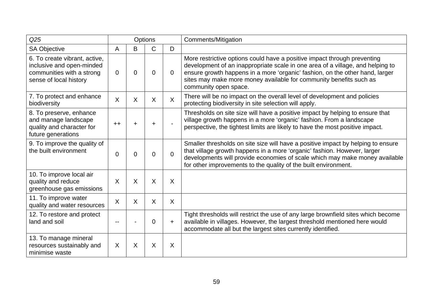| Q25                                                                                                               |          | Options |              |           | <b>Comments/Mitigation</b>                                                                                                                                                                                                                                                                                                                |
|-------------------------------------------------------------------------------------------------------------------|----------|---------|--------------|-----------|-------------------------------------------------------------------------------------------------------------------------------------------------------------------------------------------------------------------------------------------------------------------------------------------------------------------------------------------|
| <b>SA Objective</b>                                                                                               | A        | B       | C            | D         |                                                                                                                                                                                                                                                                                                                                           |
| 6. To create vibrant, active,<br>inclusive and open-minded<br>communities with a strong<br>sense of local history | $\Omega$ | 0       | 0            | $\Omega$  | More restrictive options could have a positive impact through preventing<br>development of an inappropriate scale in one area of a village, and helping to<br>ensure growth happens in a more 'organic' fashion, on the other hand, larger<br>sites may make more money available for community benefits such as<br>community open space. |
| 7. To protect and enhance<br>biodiversity                                                                         | $\sf X$  | X       | $\mathsf{X}$ | $\sf X$   | There will be no impact on the overall level of development and policies<br>protecting biodiversity in site selection will apply.                                                                                                                                                                                                         |
| 8. To preserve, enhance<br>and manage landscape<br>quality and character for<br>future generations                | $++$     |         | $\pm$        |           | Thresholds on site size will have a positive impact by helping to ensure that<br>village growth happens in a more 'organic' fashion. From a landscape<br>perspective, the tightest limits are likely to have the most positive impact.                                                                                                    |
| 9. To improve the quality of<br>the built environment                                                             | 0        | 0       | 0            | $\Omega$  | Smaller thresholds on site size will have a positive impact by helping to ensure<br>that village growth happens in a more 'organic' fashion. However, larger<br>developments will provide economies of scale which may make money available<br>for other improvements to the quality of the built environment.                            |
| 10. To improve local air<br>quality and reduce<br>greenhouse gas emissions                                        | $\sf X$  | X       | $\mathsf{X}$ | $\sf X$   |                                                                                                                                                                                                                                                                                                                                           |
| 11. To improve water<br>quality and water resources                                                               | X        | $\sf X$ | $\mathsf{X}$ | $\sf X$   |                                                                                                                                                                                                                                                                                                                                           |
| 12. To restore and protect<br>land and soil                                                                       |          |         | 0            | $\ddot{}$ | Tight thresholds will restrict the use of any large brownfield sites which become<br>available in villages. However, the largest threshold mentioned here would<br>accommodate all but the largest sites currently identified.                                                                                                            |
| 13. To manage mineral<br>resources sustainably and<br>minimise waste                                              | X        | $\sf X$ | $\mathsf{X}$ | $\sf X$   |                                                                                                                                                                                                                                                                                                                                           |